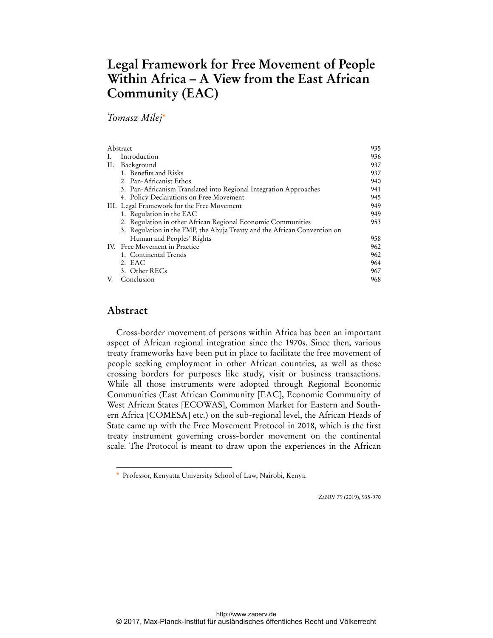# **Legal Framework for Free Movement of People Within Africa – A View from the East African Community (EAC)**

*Tomasz Milej*\*

| Abstract |                                                                          | 935 |
|----------|--------------------------------------------------------------------------|-----|
|          | Introduction                                                             | 936 |
| П.       | Background                                                               | 937 |
|          | 1. Benefits and Risks                                                    | 937 |
|          | 2. Pan-Africanist Ethos                                                  | 940 |
|          | 3. Pan-Africanism Translated into Regional Integration Approaches        | 941 |
|          | 4. Policy Declarations on Free Movement                                  | 945 |
|          | III. Legal Framework for the Free Movement                               | 949 |
|          | 1. Regulation in the EAC                                                 | 949 |
|          | 2. Regulation in other African Regional Economic Communities             | 953 |
|          | 3. Regulation in the FMP, the Abuja Treaty and the African Convention on |     |
|          | Human and Peoples' Rights                                                | 958 |
|          | IV. Free Movement in Practice                                            | 962 |
|          | 1. Continental Trends                                                    | 962 |
|          | 2. EAC                                                                   | 964 |
|          | 3. Other RECs                                                            | 967 |
| V.       | Conclusion                                                               | 968 |

# **Abstract**

 $\ddot{ }$ 

Cross-border movement of persons within Africa has been an important aspect of African regional integration since the 1970s. Since then, various treaty frameworks have been put in place to facilitate the free movement of people seeking employment in other African countries, as well as those crossing borders for purposes like study, visit or business transactions. While all those instruments were adopted through Regional Economic Communities (East African Community [EAC], Economic Community of West African States [ECOWAS], Common Market for Eastern and Southern Africa [COMESA] etc.) on the sub-regional level, the African Heads of State came up with the Free Movement Protocol in 2018, which is the first treaty instrument governing cross-border movement on the continental scale. The Protocol is meant to draw upon the experiences in the African

ZaöRV 79 (2019), 935-970

Professor, Kenyatta University School of Law, Nairobi, Kenya.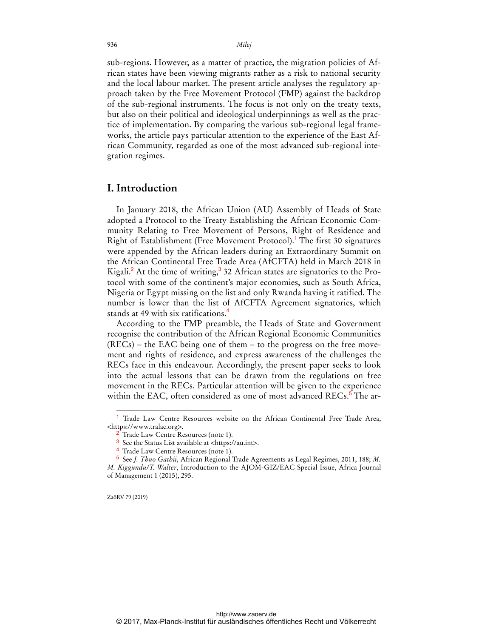936 *Milej*

sub-regions. However, as a matter of practice, the migration policies of African states have been viewing migrants rather as a risk to national security and the local labour market. The present article analyses the regulatory approach taken by the Free Movement Protocol (FMP) against the backdrop of the sub-regional instruments. The focus is not only on the treaty texts, but also on their political and ideological underpinnings as well as the practice of implementation. By comparing the various sub-regional legal frameworks, the article pays particular attention to the experience of the East African Community, regarded as one of the most advanced sub-regional integration regimes.

#### **I. Introduction**

In January 2018, the African Union (AU) Assembly of Heads of State adopted a Protocol to the Treaty Establishing the African Economic Community Relating to Free Movement of Persons, Right of Residence and Right of Establishment (Free Movement Protocol).<sup>1</sup> The first 30 signatures were appended by the African leaders during an Extraordinary Summit on the African Continental Free Trade Area (AfCFTA) held in March 2018 in Kigali.<sup>2</sup> At the time of writing,<sup>3</sup> 32 African states are signatories to the Protocol with some of the continent's major economies, such as South Africa, Nigeria or Egypt missing on the list and only Rwanda having it ratified. The number is lower than the list of AfCFTA Agreement signatories, which stands at 49 with six ratifications.<sup>4</sup>

According to the FMP preamble, the Heads of State and Government recognise the contribution of the African Regional Economic Communities (RECs) – the EAC being one of them – to the progress on the free movement and rights of residence, and express awareness of the challenges the RECs face in this endeavour. Accordingly, the present paper seeks to look into the actual lessons that can be drawn from the regulations on free movement in the RECs. Particular attention will be given to the experience within the EAC, often considered as one of most advanced RECs.<sup>5</sup> The ar-

ZaöRV 79 (2019)

<sup>&</sup>lt;sup>1</sup> Trade Law Centre Resources website on the African Continental Free Trade Area, <https://www.tralac.org>.

<sup>&</sup>lt;sup>2</sup> Trade Law Centre Resources (note 1).

<sup>3</sup> See the Status List available at <https://au.int>.

<sup>4</sup> Trade Law Centre Resources (note 1).

<sup>5</sup> See *J. Thuo Gathii*, African Regional Trade Agreements as Legal Regimes, 2011, 188; *M. M. Kiggundu/T. Walter*, Introduction to the AJOM-GIZ/EAC Special Issue, Africa Journal of Management 1 (2015), 295.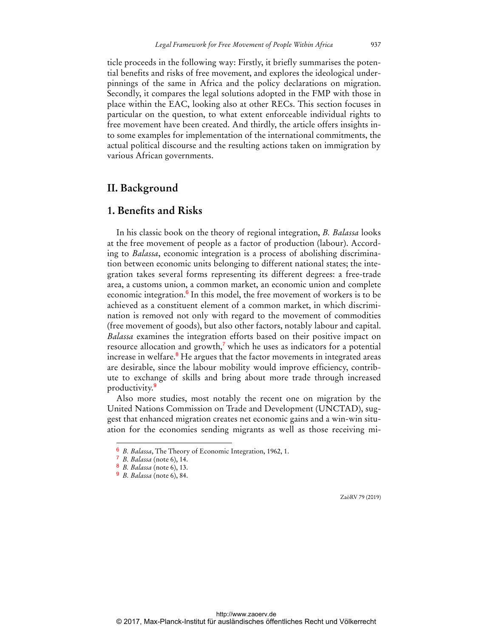ticle proceeds in the following way: Firstly, it briefly summarises the potential benefits and risks of free movement, and explores the ideological underpinnings of the same in Africa and the policy declarations on migration. Secondly, it compares the legal solutions adopted in the FMP with those in place within the EAC, looking also at other RECs. This section focuses in particular on the question, to what extent enforceable individual rights to free movement have been created. And thirdly, the article offers insights into some examples for implementation of the international commitments, the actual political discourse and the resulting actions taken on immigration by various African governments.

# **II. Background**

## **1. Benefits and Risks**

In his classic book on the theory of regional integration, *B. Balassa* looks at the free movement of people as a factor of production (labour). According to *Balassa*, economic integration is a process of abolishing discrimination between economic units belonging to different national states; the integration takes several forms representing its different degrees: a free-trade area, a customs union, a common market, an economic union and complete economic integration.<sup>6</sup> In this model, the free movement of workers is to be achieved as a constituent element of a common market, in which discrimination is removed not only with regard to the movement of commodities (free movement of goods), but also other factors, notably labour and capital. *Balassa* examines the integration efforts based on their positive impact on resource allocation and growth,<sup>7</sup> which he uses as indicators for a potential increase in welfare.<sup>8</sup> He argues that the factor movements in integrated areas are desirable, since the labour mobility would improve efficiency, contribute to exchange of skills and bring about more trade through increased productivity.<sup>9</sup>

Also more studies, most notably the recent one on migration by the United Nations Commission on Trade and Development (UNCTAD), suggest that enhanced migration creates net economic gains and a win-win situation for the economies sending migrants as well as those receiving mi-

 $\overline{a}$ 

<sup>6</sup> *B. Balassa*, The Theory of Economic Integration, 1962, 1.

<sup>7</sup> *B. Balassa* (note 6), 14.

<sup>8</sup> *B. Balassa* (note 6), 13.

<sup>9</sup> *B. Balassa* (note 6), 84.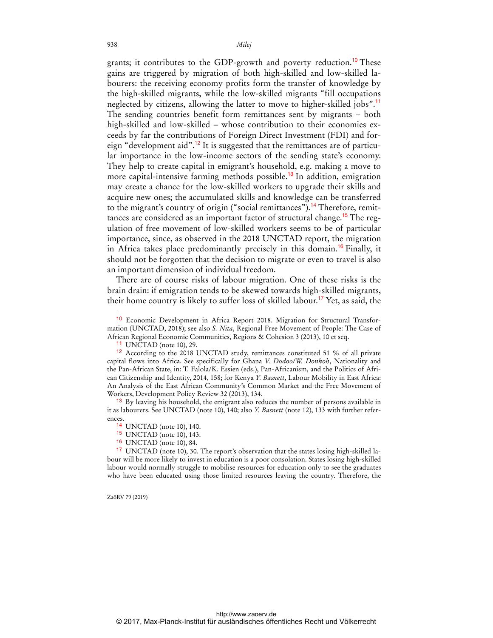grants; it contributes to the GDP-growth and poverty reduction.<sup>10</sup> These gains are triggered by migration of both high-skilled and low-skilled labourers: the receiving economy profits form the transfer of knowledge by the high-skilled migrants, while the low-skilled migrants "fill occupations neglected by citizens, allowing the latter to move to higher-skilled jobs".<sup>11</sup> The sending countries benefit form remittances sent by migrants – both high-skilled and low-skilled – whose contribution to their economies exceeds by far the contributions of Foreign Direct Investment (FDI) and foreign "development aid".<sup>12</sup> It is suggested that the remittances are of particular importance in the low-income sectors of the sending state's economy. They help to create capital in emigrant's household, e.g. making a move to more capital-intensive farming methods possible.<sup>13</sup> In addition, emigration may create a chance for the low-skilled workers to upgrade their skills and acquire new ones; the accumulated skills and knowledge can be transferred to the migrant's country of origin ("social remittances").<sup>14</sup> Therefore, remittances are considered as an important factor of structural change.<sup>15</sup> The regulation of free movement of low-skilled workers seems to be of particular importance, since, as observed in the 2018 UNCTAD report, the migration in Africa takes place predominantly precisely in this domain.<sup>16</sup> Finally, it should not be forgotten that the decision to migrate or even to travel is also an important dimension of individual freedom.

There are of course risks of labour migration. One of these risks is the brain drain: if emigration tends to be skewed towards high-skilled migrants, their home country is likely to suffer loss of skilled labour.<sup>17</sup> Yet, as said, the

ZaöRV 79 (2019)

<sup>10</sup> Economic Development in Africa Report 2018. Migration for Structural Transformation (UNCTAD, 2018); see also *S. Nita*, Regional Free Movement of People: The Case of African Regional Economic Communities, Regions & Cohesion 3 (2013), 10 et seq.

 $11$  UNCTAD (note 10), 29.

<sup>12</sup> According to the 2018 UNCTAD study, remittances constituted 51 % of all private capital flows into Africa. See specifically for Ghana *V. Dodoo/W. Donkoh*, Nationality and the Pan-African State, in: T. Falola/K. Essien (eds.), Pan-Africanism, and the Politics of African Citizenship and Identity, 2014, 158; for Kenya *Y. Basnett*, Labour Mobility in East Africa: An Analysis of the East African Community's Common Market and the Free Movement of Workers, Development Policy Review 32 (2013), 134.

<sup>&</sup>lt;sup>13</sup> By leaving his household, the emigrant also reduces the number of persons available in it as labourers. See UNCTAD (note 10), 140; also *Y. Basnett* (note 12), 133 with further references.

<sup>14</sup> UNCTAD (note 10), 140.

 $15$  UNCTAD (note 10), 143.<br> $16$  INCTAD (note 10) 84

<sup>&</sup>lt;sup>16</sup> UNCTAD (note 10), 84.<br><sup>17</sup> UNCTAD (note 10), 30.

UNCTAD (note 10), 30. The report's observation that the states losing high-skilled labour will be more likely to invest in education is a poor consolation. States losing high-skilled labour would normally struggle to mobilise resources for education only to see the graduates who have been educated using those limited resources leaving the country. Therefore, the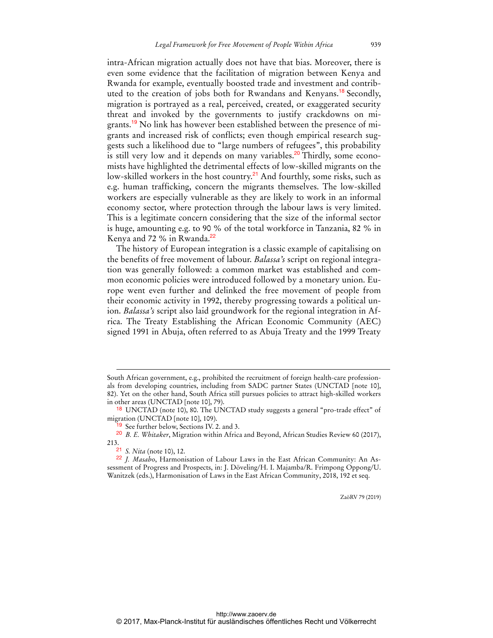intra-African migration actually does not have that bias. Moreover, there is even some evidence that the facilitation of migration between Kenya and Rwanda for example, eventually boosted trade and investment and contributed to the creation of jobs both for Rwandans and Kenyans.<sup>18</sup> Secondly, migration is portrayed as a real, perceived, created, or exaggerated security threat and invoked by the governments to justify crackdowns on migrants.<sup>19</sup> No link has however been established between the presence of migrants and increased risk of conflicts; even though empirical research suggests such a likelihood due to "large numbers of refugees", this probability is still very low and it depends on many variables.<sup>20</sup> Thirdly, some economists have highlighted the detrimental effects of low-skilled migrants on the low-skilled workers in the host country.<sup>21</sup> And fourthly, some risks, such as e.g. human trafficking, concern the migrants themselves. The low-skilled workers are especially vulnerable as they are likely to work in an informal economy sector, where protection through the labour laws is very limited. This is a legitimate concern considering that the size of the informal sector is huge, amounting e.g. to 90 % of the total workforce in Tanzania, 82 % in Kenya and 72 % in Rwanda.<sup>22</sup>

The history of European integration is a classic example of capitalising on the benefits of free movement of labour. *Balassa's* script on regional integration was generally followed: a common market was established and common economic policies were introduced followed by a monetary union. Europe went even further and delinked the free movement of people from their economic activity in 1992, thereby progressing towards a political union. *Balassa's* script also laid groundwork for the regional integration in Africa. The Treaty Establishing the African Economic Community (AEC) signed 1991 in Abuja, often referred to as Abuja Treaty and the 1999 Treaty

20 *B. E. Whitaker*, Migration within Africa and Beyond, African Studies Review 60 (2017), 213.

 $\overline{a}$ 

South African government, e.g., prohibited the recruitment of foreign health-care professionals from developing countries, including from SADC partner States (UNCTAD [note 10], 82). Yet on the other hand, South Africa still pursues policies to attract high-skilled workers in other areas (UNCTAD [note 10], 79).

<sup>&</sup>lt;sup>18</sup> UNCTAD (note 10), 80. The UNCTAD study suggests a general "pro-trade effect" of migration (UNCTAD [note 10], 109).

<sup>19</sup> See further below, Sections IV. 2. and 3.

<sup>21</sup> *S. Nita* (note 10), 12.

<sup>22</sup> *J. Masabo*, Harmonisation of Labour Laws in the East African Community: An Assessment of Progress and Prospects, in: J. Döveling/H. I. Majamba/R. Frimpong Oppong/U. Wanitzek (eds.), Harmonisation of Laws in the East African Community, 2018, 192 et seq.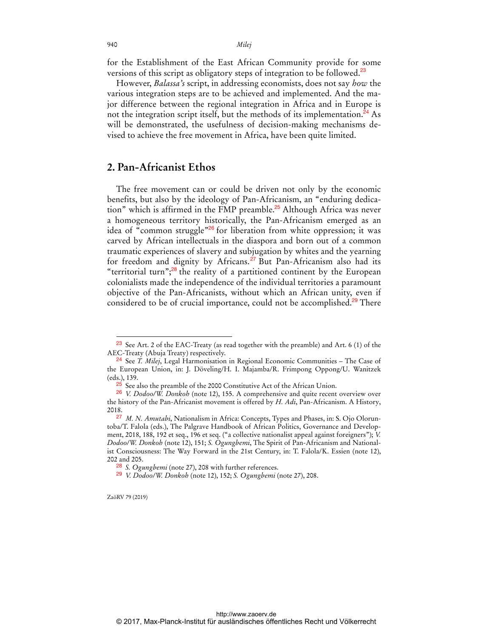940 *Milej*

for the Establishment of the East African Community provide for some versions of this script as obligatory steps of integration to be followed.<sup>23</sup>

However, *Balassa's* script, in addressing economists, does not say *how* the various integration steps are to be achieved and implemented. And the major difference between the regional integration in Africa and in Europe is not the integration script itself, but the methods of its implementation.<sup>24</sup> As will be demonstrated, the usefulness of decision-making mechanisms devised to achieve the free movement in Africa, have been quite limited.

# **2. Pan-Africanist Ethos**

The free movement can or could be driven not only by the economic benefits, but also by the ideology of Pan-Africanism, an "enduring dedication" which is affirmed in the FMP preamble.<sup>25</sup> Although Africa was never a homogeneous territory historically, the Pan-Africanism emerged as an idea of "common struggle"<sup>26</sup> for liberation from white oppression; it was carved by African intellectuals in the diaspora and born out of a common traumatic experiences of slavery and subjugation by whites and the yearning for freedom and dignity by Africans.<sup>27</sup> But Pan-Africanism also had its "territorial turn"; $^{28}$  the reality of a partitioned continent by the European colonialists made the independence of the individual territories a paramount objective of the Pan-Africanists, without which an African unity, even if considered to be of crucial importance, could not be accomplished.<sup>29</sup> There

ZaöRV 79 (2019)

 $\ddot{ }$ 

<sup>23</sup> See Art. 2 of the EAC-Treaty (as read together with the preamble) and Art. 6 (1) of the AEC-Treaty (Abuja Treaty) respectively.

<sup>24</sup> See *T. Milej*, Legal Harmonisation in Regional Economic Communities – The Case of the European Union, in: J. Döveling/H. I. Majamba/R. Frimpong Oppong/U. Wanitzek (eds.), 139.

 $^{25}$  See also the preamble of the 2000 Constitutive Act of the African Union.

<sup>26</sup> *V. Dodoo/W. Donkoh* (note 12), 155. A comprehensive and quite recent overview over the history of the Pan-Africanist movement is offered by *H. Adi*, Pan-Africanism. A History, 2018.

<sup>27</sup> *M. N. Amutabi*, Nationalism in Africa: Concepts, Types and Phases, in: S. Ojo Oloruntoba/T. Falola (eds.), The Palgrave Handbook of African Politics, Governance and Development, 2018, 188, 192 et seq., 196 et seq. ("a collective nationalist appeal against foreigners"); *V. Dodoo/W. Donkoh* (note 12), 151; *S. Ogungbemi*, The Spirit of Pan-Africanism and Nationalist Consciousness: The Way Forward in the 21st Century, in: T. Falola/K. Essien (note 12), 202 and 205.

<sup>28</sup> *S. Ogungbemi* (note 27), 208 with further references.

<sup>29</sup> *V. Dodoo/W. Donkoh* (note 12), 152; *S. Ogungbemi* (note 27), 208.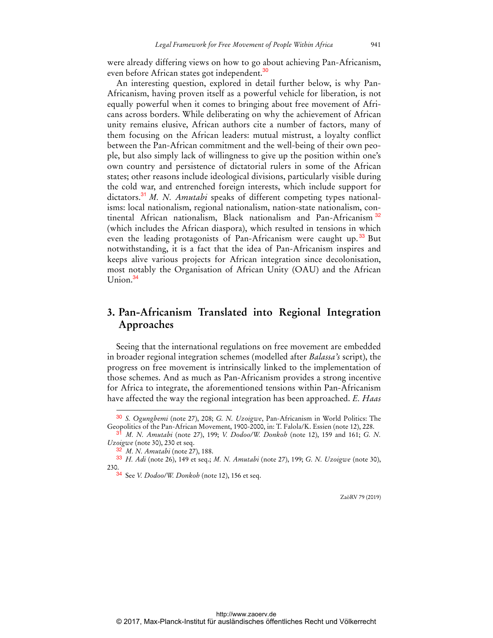were already differing views on how to go about achieving Pan-Africanism, even before African states got independent.<sup>30</sup>

An interesting question, explored in detail further below, is why Pan-Africanism, having proven itself as a powerful vehicle for liberation, is not equally powerful when it comes to bringing about free movement of Africans across borders. While deliberating on why the achievement of African unity remains elusive, African authors cite a number of factors, many of them focusing on the African leaders: mutual mistrust, a loyalty conflict between the Pan-African commitment and the well-being of their own people, but also simply lack of willingness to give up the position within one's own country and persistence of dictatorial rulers in some of the African states; other reasons include ideological divisions, particularly visible during the cold war, and entrenched foreign interests, which include support for dictators.<sup>31</sup> *M. N. Amutabi* speaks of different competing types nationalisms: local nationalism, regional nationalism, nation-state nationalism, continental African nationalism, Black nationalism and Pan-Africanism <sup>32</sup> (which includes the African diaspora), which resulted in tensions in which even the leading protagonists of Pan-Africanism were caught up.<sup>33</sup> But notwithstanding, it is a fact that the idea of Pan-Africanism inspires and keeps alive various projects for African integration since decolonisation, most notably the Organisation of African Unity (OAU) and the African Union.<sup>34</sup>

# **3. Pan-Africanism Translated into Regional Integration Approaches**

Seeing that the international regulations on free movement are embedded in broader regional integration schemes (modelled after *Balassa's* script), the progress on free movement is intrinsically linked to the implementation of those schemes. And as much as Pan-Africanism provides a strong incentive for Africa to integrate, the aforementioned tensions within Pan-Africanism have affected the way the regional integration has been approached. *E. Haas*

 $\overline{a}$ 

<sup>30</sup> *S. Ogungbemi* (note 27), 208; *G. N. Uzoigwe*, Pan-Africanism in World Politics: The Geopolitics of the Pan-African Movement, 1900-2000, in: T. Falola/K. Essien (note 12), 228.

<sup>31</sup> *M. N. Amutabi* (note 27), 199; *V. Dodoo/W. Donkoh* (note 12), 159 and 161; *G. N. Uzoigwe* (note 30), 230 et seq.

*M. N. Amutabi* (note 27), 188.

<sup>33</sup> *H. Adi* (note 26), 149 et seq.; *M. N. Amutabi* (note 27), 199; *G. N. Uzoigwe* (note 30), 230.

<sup>34</sup> See *V. Dodoo/W. Donkoh* (note 12), 156 et seq.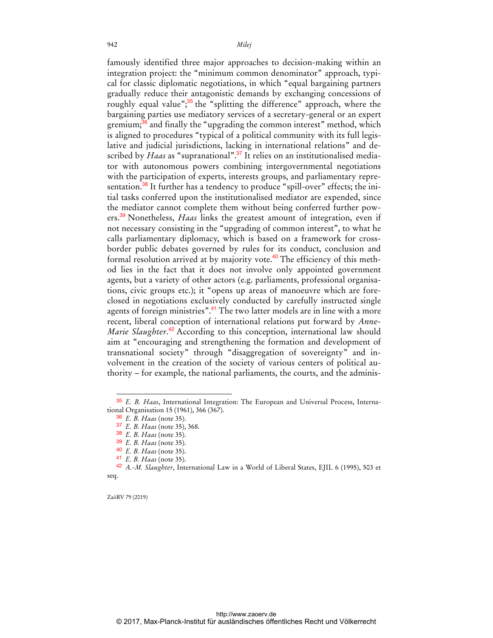famously identified three major approaches to decision-making within an integration project: the "minimum common denominator" approach, typical for classic diplomatic negotiations, in which "equal bargaining partners gradually reduce their antagonistic demands by exchanging concessions of roughly equal value";<sup>35</sup> the "splitting the difference" approach, where the bargaining parties use mediatory services of a secretary-general or an expert gremium;<sup>36</sup> and finally the "upgrading the common interest" method, which is aligned to procedures "typical of a political community with its full legislative and judicial jurisdictions, lacking in international relations" and described by *Haas* as "supranational".<sup>37</sup> It relies on an institutionalised mediator with autonomous powers combining intergovernmental negotiations with the participation of experts, interests groups, and parliamentary representation.<sup>38</sup> It further has a tendency to produce "spill-over" effects; the initial tasks conferred upon the institutionalised mediator are expended, since the mediator cannot complete them without being conferred further powers.<sup>39</sup> Nonetheless, *Haas* links the greatest amount of integration, even if not necessary consisting in the "upgrading of common interest", to what he calls parliamentary diplomacy, which is based on a framework for crossborder public debates governed by rules for its conduct, conclusion and formal resolution arrived at by majority vote.<sup>40</sup> The efficiency of this method lies in the fact that it does not involve only appointed government agents, but a variety of other actors (e.g. parliaments, professional organisations, civic groups etc.); it "opens up areas of manoeuvre which are foreclosed in negotiations exclusively conducted by carefully instructed single agents of foreign ministries".<sup>41</sup> The two latter models are in line with a more recent, liberal conception of international relations put forward by *Anne-*Marie Slaughter.<sup>42</sup> According to this conception, international law should aim at "encouraging and strengthening the formation and development of transnational society" through "disaggregation of sovereignty" and involvement in the creation of the society of various centers of political authority – for example, the national parliaments, the courts, and the adminis-

42 *A.-M. Slaughter*, International Law in a World of Liberal States, EJIL 6 (1995), 503 et seq.

ZaöRV 79 (2019)

<sup>35</sup> *E. B. Haas*, International Integration: The European and Universal Process, International Organisation 15 (1961), 366 (367).

<sup>36</sup> *E. B. Haas* (note 35).

<sup>37</sup> *E. B. Haas* (note 35), 368.

<sup>38</sup> *E. B. Haas* (note 35).

<sup>39</sup> *E. B. Haas* (note 35).

<sup>40</sup> *E. B. Haas* (note 35).

<sup>41</sup> *E. B. Haas* (note 35).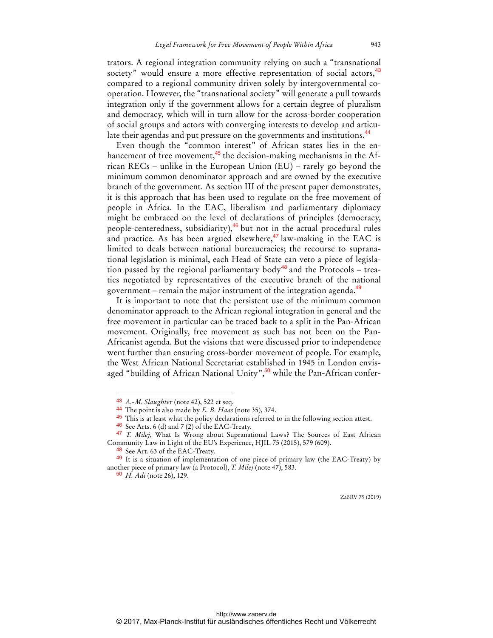trators. A regional integration community relying on such a "transnational society" would ensure a more effective representation of social actors,<sup>43</sup> compared to a regional community driven solely by intergovernmental cooperation. However, the "transnational society" will generate a pull towards integration only if the government allows for a certain degree of pluralism and democracy, which will in turn allow for the across-border cooperation of social groups and actors with converging interests to develop and articulate their agendas and put pressure on the governments and institutions.<sup>44</sup>

Even though the "common interest" of African states lies in the enhancement of free movement, $45$  the decision-making mechanisms in the African RECs – unlike in the European Union (EU) – rarely go beyond the minimum common denominator approach and are owned by the executive branch of the government. As section III of the present paper demonstrates, it is this approach that has been used to regulate on the free movement of people in Africa. In the EAC, liberalism and parliamentary diplomacy might be embraced on the level of declarations of principles (democracy, people-centeredness, subsidiarity), $46$  but not in the actual procedural rules and practice. As has been argued elsewhere, $47 \text{ law-making}$  in the EAC is limited to deals between national bureaucracies; the recourse to supranational legislation is minimal, each Head of State can veto a piece of legislation passed by the regional parliamentary body<sup>48</sup> and the Protocols – treaties negotiated by representatives of the executive branch of the national government – remain the major instrument of the integration agenda.<sup>49</sup>

It is important to note that the persistent use of the minimum common denominator approach to the African regional integration in general and the free movement in particular can be traced back to a split in the Pan-African movement. Originally, free movement as such has not been on the Pan-Africanist agenda. But the visions that were discussed prior to independence went further than ensuring cross-border movement of people. For example, the West African National Secretariat established in 1945 in London envisaged "building of African National Unity",<sup>50</sup> while the Pan-African confer-

 $\overline{a}$ 

<sup>43</sup> *A.-M. Slaughter* (note 42), 522 et seq.

<sup>44</sup> The point is also made by *E. B. Haas* (note 35), 374.

<sup>45</sup> This is at least what the policy declarations referred to in the following section attest.

<sup>46</sup> See Arts. 6 (d) and 7 (2) of the EAC-Treaty.

<sup>47</sup> *T. Milej*, What Is Wrong about Supranational Laws? The Sources of East African Community Law in Light of the EU's Experience, HJIL 75 (2015), 579 (609).

<sup>&</sup>lt;sup>48</sup> See Art. 63 of the EAC-Treaty.

<sup>49</sup> It is a situation of implementation of one piece of primary law (the EAC-Treaty) by another piece of primary law (a Protocol), *T. Milej* (note 47), 583.

<sup>50</sup> *H. Adi* (note 26), 129.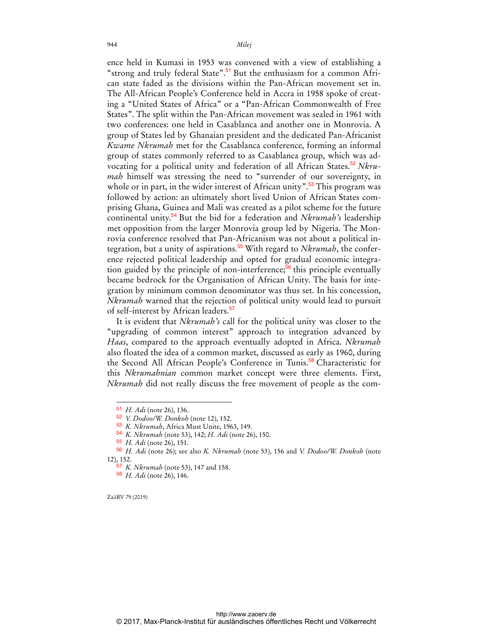ence held in Kumasi in 1953 was convened with a view of establishing a "strong and truly federal State".<sup>51</sup> But the enthusiasm for a common African state faded as the divisions within the Pan-African movement set in. The All-African People's Conference held in Accra in 1958 spoke of creating a "United States of Africa" or a "Pan-African Commonwealth of Free States". The split within the Pan-African movement was sealed in 1961 with two conferences: one held in Casablanca and another one in Monrovia. A group of States led by Ghanaian president and the dedicated Pan-Africanist *Kwame Nkrumah* met for the Casablanca conference, forming an informal group of states commonly referred to as Casablanca group, which was advocating for a political unity and federation of all African States.<sup>52</sup> *Nkrumah* himself was stressing the need to "surrender of our sovereignty, in whole or in part, in the wider interest of African unity".<sup>53</sup> This program was followed by action: an ultimately short lived Union of African States comprising Ghana, Guinea and Mali was created as a pilot scheme for the future continental unity.<sup>54</sup> But the bid for a federation and *Nkrumah's* leadership met opposition from the larger Monrovia group led by Nigeria. The Monrovia conference resolved that Pan-Africanism was not about a political integration, but a unity of aspirations.55 With regard to *Nkrumah*, the conference rejected political leadership and opted for gradual economic integration guided by the principle of non-interference;<sup>56</sup> this principle eventually became bedrock for the Organisation of African Unity. The basis for integration by minimum common denominator was thus set. In his concession, *Nkrumah* warned that the rejection of political unity would lead to pursuit of self-interest by African leaders.<sup>57</sup>

It is evident that *Nkrumah's* call for the political unity was closer to the "upgrading of common interest" approach to integration advanced by *Haas*, compared to the approach eventually adopted in Africa. *Nkrumah* also floated the idea of a common market, discussed as early as 1960, during the Second All African People's Conference in Tunis.<sup>58</sup> Characteristic for this *Nkrumahnian* common market concept were three elements. First, *Nkrumah* did not really discuss the free movement of people as the com-

ZaöRV 79 (2019)

<sup>51</sup> *H. Adi* (note 26), 136.

<sup>52</sup> *V. Dodoo/W. Donkoh* (note 12), 152.

<sup>53</sup> *K. Nkrumah*, Africa Must Unite, 1963, 149.

<sup>54</sup> *K. Nkrumah* (note 53), 142; *H. Adi* (note 26), 150.

<sup>55</sup> *H. Adi* (note 26), 151.

<sup>56</sup> *H. Adi* (note 26); see also *K. Nkrumah* (note 53), 156 and *V. Dodoo/W. Donkoh* (note 12), 152.

<sup>57</sup> *K. Nkrumah* (note 53), 147 and 158.

<sup>58</sup> *H. Adi* (note 26), 146.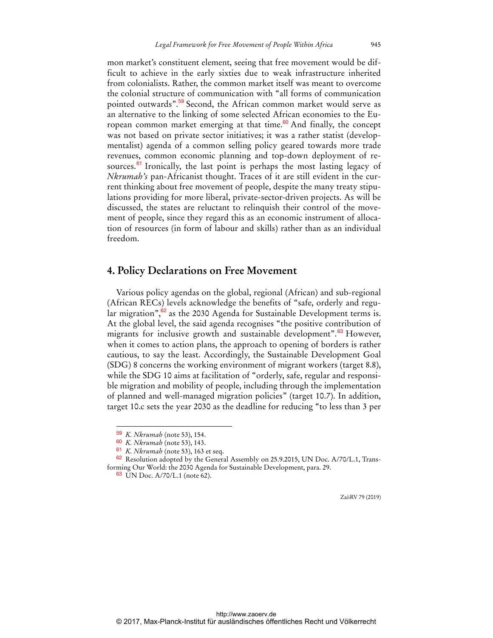mon market's constituent element, seeing that free movement would be difficult to achieve in the early sixties due to weak infrastructure inherited from colonialists. Rather, the common market itself was meant to overcome the colonial structure of communication with "all forms of communication pointed outwards".<sup>59</sup> Second, the African common market would serve as an alternative to the linking of some selected African economies to the European common market emerging at that time. $60$  And finally, the concept was not based on private sector initiatives; it was a rather statist (developmentalist) agenda of a common selling policy geared towards more trade revenues, common economic planning and top-down deployment of resources. $61$  Ironically, the last point is perhaps the most lasting legacy of *Nkrumah's* pan-Africanist thought. Traces of it are still evident in the current thinking about free movement of people, despite the many treaty stipulations providing for more liberal, private-sector-driven projects. As will be discussed, the states are reluctant to relinquish their control of the movement of people, since they regard this as an economic instrument of allocation of resources (in form of labour and skills) rather than as an individual freedom.

#### **4. Policy Declarations on Free Movement**

Various policy agendas on the global, regional (African) and sub-regional (African RECs) levels acknowledge the benefits of "safe, orderly and regular migration",<sup>62</sup> as the 2030 Agenda for Sustainable Development terms is. At the global level, the said agenda recognises "the positive contribution of migrants for inclusive growth and sustainable development".<sup>63</sup> However, when it comes to action plans, the approach to opening of borders is rather cautious, to say the least. Accordingly, the Sustainable Development Goal (SDG) 8 concerns the working environment of migrant workers (target 8.8), while the SDG 10 aims at facilitation of "orderly, safe, regular and responsible migration and mobility of people, including through the implementation of planned and well-managed migration policies" (target 10.7). In addition, target 10.c sets the year 2030 as the deadline for reducing "to less than 3 per

 $\overline{a}$ 

<sup>59</sup> *K. Nkrumah* (note 53), 154.

<sup>60</sup> *K. Nkrumah* (note 53), 143.

<sup>61</sup> *K. Nkrumah* (note 53), 163 et seq.

 $62$  Resolution adopted by the General Assembly on 25.9.2015, UN Doc. A/70/L.1, Transforming Our World: the 2030 Agenda for Sustainable Development, para. 29.

<sup>63</sup> UN Doc. A/70/L.1 (note 62).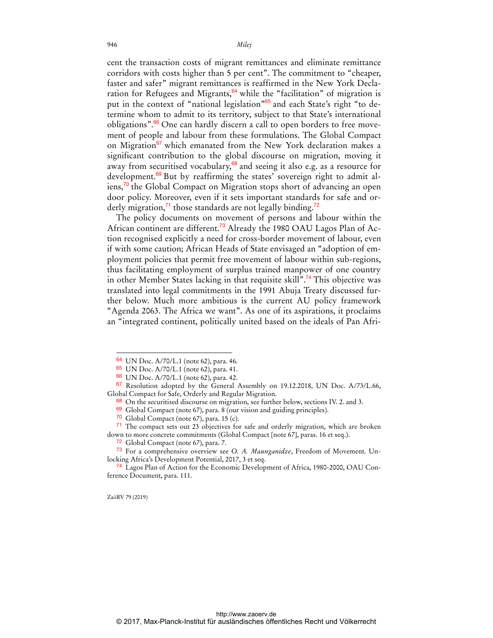cent the transaction costs of migrant remittances and eliminate remittance corridors with costs higher than 5 per cent". The commitment to "cheaper, faster and safer" migrant remittances is reaffirmed in the New York Declaration for Refugees and Migrants, $64$  while the "facilitation" of migration is put in the context of "national legislation"<sup>65</sup> and each State's right "to determine whom to admit to its territory, subject to that State's international obligations".66 One can hardly discern a call to open borders to free movement of people and labour from these formulations. The Global Compact on Migration<sup>67</sup> which emanated from the New York declaration makes a significant contribution to the global discourse on migration, moving it away from securitised vocabulary, $68$  and seeing it also e.g. as a resource for development.<sup>69</sup> But by reaffirming the states' sovereign right to admit aliens,<sup>70</sup> the Global Compact on Migration stops short of advancing an open door policy. Moreover, even if it sets important standards for safe and orderly migration, $^{71}$  those standards are not legally binding.<sup>72</sup>

The policy documents on movement of persons and labour within the African continent are different.<sup>73</sup> Already the 1980 OAU Lagos Plan of Action recognised explicitly a need for cross-border movement of labour, even if with some caution; African Heads of State envisaged an "adoption of employment policies that permit free movement of labour within sub-regions, thus facilitating employment of surplus trained manpower of one country in other Member States lacking in that requisite skill".<sup>74</sup> This objective was translated into legal commitments in the 1991 Abuja Treaty discussed further below. Much more ambitious is the current AU policy framework "Agenda 2063. The Africa we want". As one of its aspirations, it proclaims an "integrated continent, politically united based on the ideals of Pan Afri-

ZaöRV 79 (2019)

<sup>64</sup> UN Doc. A/70/L.1 (note 62), para. 46.

<sup>65</sup> UN Doc. A/70/L.1 (note 62), para. 41.

<sup>66</sup> UN Doc. A/70/L.1 (note 62), para. 42.

<sup>67</sup> Resolution adopted by the General Assembly on 19.12.2018, UN Doc. A/73/L.66, Global Compact for Safe, Orderly and Regular Migration.

<sup>68</sup> On the securitised discourse on migration, see further below, sections IV. 2. and 3.

<sup>69</sup> Global Compact (note 67), para. 8 (our vision and guiding principles).

<sup>70</sup> Global Compact (note 67), para. 15 (c).

<sup>71</sup> The compact sets out 23 objectives for safe and orderly migration, which are broken down to more concrete commitments (Global Compact [note 67], paras. 16 et seq.).

<sup>72</sup> Global Compact (note 67), para. 7.

<sup>73</sup> For a comprehensive overview see *O. A. Maunganidze*, Freedom of Movement. Unlocking Africa's Development Potential, 2017, 3 et seq.

<sup>74</sup> Lagos Plan of Action for the Economic Development of Africa, 1980-2000, OAU Conference Document, para. 111.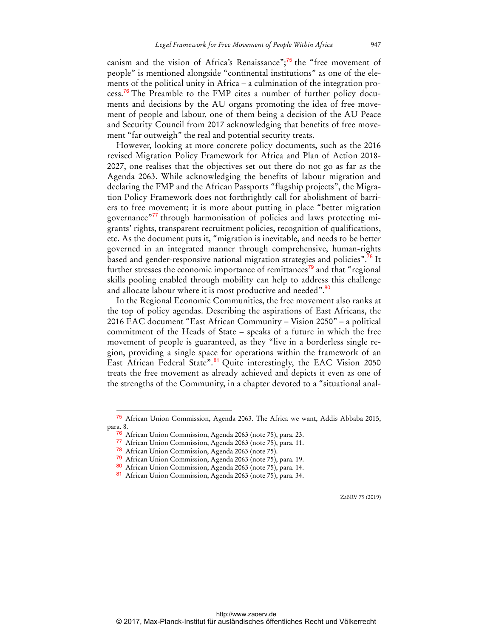canism and the vision of Africa's Renaissance"; $\frac{75}{15}$  the "free movement of people" is mentioned alongside "continental institutions" as one of the elements of the political unity in Africa – a culmination of the integration process.<sup>76</sup> The Preamble to the FMP cites a number of further policy documents and decisions by the AU organs promoting the idea of free movement of people and labour, one of them being a decision of the AU Peace and Security Council from 2017 acknowledging that benefits of free movement "far outweigh" the real and potential security treats.

However, looking at more concrete policy documents, such as the 2016 revised Migration Policy Framework for Africa and Plan of Action 2018- 2027, one realises that the objectives set out there do not go as far as the Agenda 2063. While acknowledging the benefits of labour migration and declaring the FMP and the African Passports "flagship projects", the Migration Policy Framework does not forthrightly call for abolishment of barriers to free movement; it is more about putting in place "better migration governance"77 through harmonisation of policies and laws protecting migrants' rights, transparent recruitment policies, recognition of qualifications, etc. As the document puts it, "migration is inevitable, and needs to be better governed in an integrated manner through comprehensive, human-rights based and gender-responsive national migration strategies and policies".<sup>78</sup> It further stresses the economic importance of remittances<sup>79</sup> and that "regional skills pooling enabled through mobility can help to address this challenge and allocate labour where it is most productive and needed".<sup>80</sup>

In the Regional Economic Communities, the free movement also ranks at the top of policy agendas. Describing the aspirations of East Africans, the 2016 EAC document "East African Community – Vision 2050" – a political commitment of the Heads of State – speaks of a future in which the free movement of people is guaranteed, as they "live in a borderless single region, providing a single space for operations within the framework of an East African Federal State".<sup>81</sup> Quite interestingly, the EAC Vision 2050 treats the free movement as already achieved and depicts it even as one of the strengths of the Community, in a chapter devoted to a "situational anal-

 $\overline{a}$ 

<sup>75</sup> African Union Commission, Agenda 2063. The Africa we want, Addis Abbaba 2015, para. 8.

<sup>&</sup>lt;sup>76</sup> African Union Commission, Agenda 2063 (note 75), para. 23.

<sup>77</sup> African Union Commission, Agenda 2063 (note 75), para. 11.

<sup>78</sup> African Union Commission, Agenda 2063 (note 75).

<sup>79</sup> African Union Commission, Agenda 2063 (note 75), para. 19.

<sup>80</sup> African Union Commission, Agenda 2063 (note 75), para. 14.

<sup>81</sup> African Union Commission, Agenda 2063 (note 75), para. 34.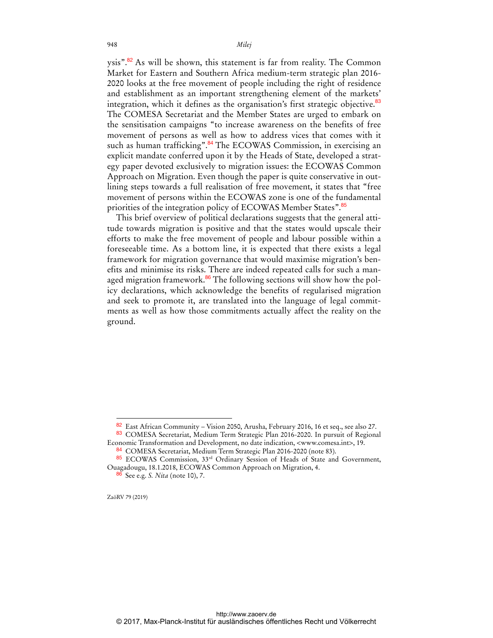ysis".<sup>82</sup> As will be shown, this statement is far from reality. The Common Market for Eastern and Southern Africa medium-term strategic plan 2016- 2020 looks at the free movement of people including the right of residence and establishment as an important strengthening element of the markets' integration, which it defines as the organisation's first strategic objective.<sup>83</sup> The COMESA Secretariat and the Member States are urged to embark on the sensitisation campaigns "to increase awareness on the benefits of free movement of persons as well as how to address vices that comes with it such as human trafficking".<sup>84</sup> The ECOWAS Commission, in exercising an explicit mandate conferred upon it by the Heads of State, developed a strategy paper devoted exclusively to migration issues: the ECOWAS Common Approach on Migration. Even though the paper is quite conservative in outlining steps towards a full realisation of free movement, it states that "free movement of persons within the ECOWAS zone is one of the fundamental priorities of the integration policy of ECOWAS Member States".<sup>85</sup>

This brief overview of political declarations suggests that the general attitude towards migration is positive and that the states would upscale their efforts to make the free movement of people and labour possible within a foreseeable time. As a bottom line, it is expected that there exists a legal framework for migration governance that would maximise migration's benefits and minimise its risks. There are indeed repeated calls for such a managed migration framework.<sup>86</sup> The following sections will show how the policy declarations, which acknowledge the benefits of regularised migration and seek to promote it, are translated into the language of legal commitments as well as how those commitments actually affect the reality on the ground.

 $82$  East African Community – Vision 2050, Arusha, February 2016, 16 et seq., see also 27.

<sup>83</sup> COMESA Secretariat, Medium Term Strategic Plan 2016-2020. In pursuit of Regional Economic Transformation and Development, no date indication, <www.comesa.int>, 19.

<sup>84</sup> COMESA Secretariat, Medium Term Strategic Plan 2016-2020 (note 83).

<sup>85</sup> ECOWAS Commission, 33<sup>rd</sup> Ordinary Session of Heads of State and Government, Ouagadougu, 18.1.2018, ECOWAS Common Approach on Migration, 4.

<sup>86</sup> See e.g. *S. Nita* (note 10), 7.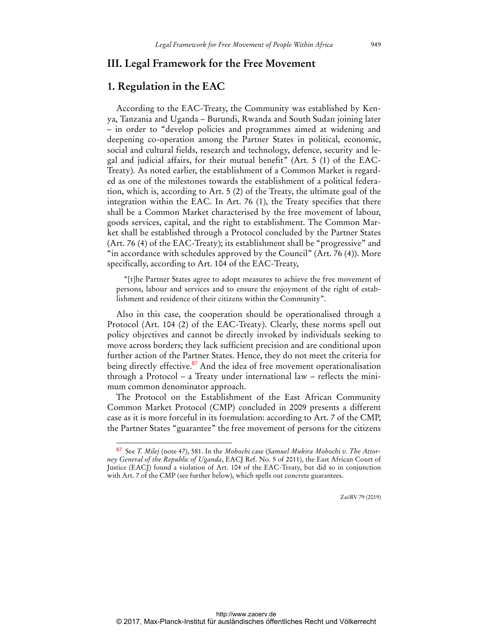### **III. Legal Framework for the Free Movement**

#### **1. Regulation in the EAC**

According to the EAC-Treaty, the Community was established by Kenya, Tanzania and Uganda – Burundi, Rwanda and South Sudan joining later – in order to "develop policies and programmes aimed at widening and deepening co-operation among the Partner States in political, economic, social and cultural fields, research and technology, defence, security and legal and judicial affairs, for their mutual benefit" (Art. 5 (1) of the EAC-Treaty). As noted earlier, the establishment of a Common Market is regarded as one of the milestones towards the establishment of a political federation, which is, according to Art. 5 (2) of the Treaty, the ultimate goal of the integration within the EAC. In Art. 76 (1), the Treaty specifies that there shall be a Common Market characterised by the free movement of labour, goods services, capital, and the right to establishment. The Common Market shall be established through a Protocol concluded by the Partner States (Art. 76 (4) of the EAC-Treaty); its establishment shall be "progressive" and "in accordance with schedules approved by the Council" (Art. 76 (4)). More specifically, according to Art. 104 of the EAC-Treaty,

"[t]he Partner States agree to adopt measures to achieve the free movement of persons, labour and services and to ensure the enjoyment of the right of establishment and residence of their citizens within the Community".

Also in this case, the cooperation should be operationalised through a Protocol (Art. 104 (2) of the EAC-Treaty). Clearly, these norms spell out policy objectives and cannot be directly invoked by individuals seeking to move across borders; they lack sufficient precision and are conditional upon further action of the Partner States. Hence, they do not meet the criteria for being directly effective.<sup>87</sup> And the idea of free movement operationalisation through a Protocol – a Treaty under international law – reflects the minimum common denominator approach.

The Protocol on the Establishment of the East African Community Common Market Protocol (CMP) concluded in 2009 presents a different case as it is more forceful in its formulation: according to Art. 7 of the CMP, the Partner States "guarantee" the free movement of persons for the citizens

<sup>87</sup> 87 See *T. Milej* (note 47), 581. In the *Mohochi* case (*Samuel Mukira Mohochi v. The Attorney General of the Republic of Uganda*, EACJ Ref. No. 5 of 2011), the East African Court of Justice (EACJ) found a violation of Art. 104 of the EAC-Treaty, but did so in conjunction with Art. 7 of the CMP (see further below), which spells out concrete guarantees.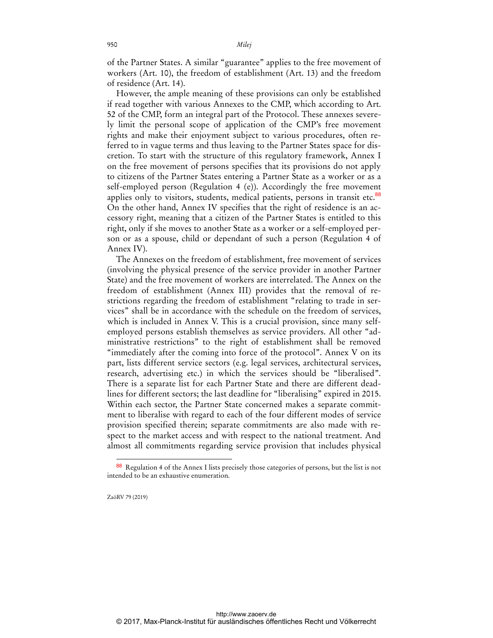of the Partner States. A similar "guarantee" applies to the free movement of workers (Art. 10), the freedom of establishment (Art. 13) and the freedom of residence (Art. 14).

However, the ample meaning of these provisions can only be established if read together with various Annexes to the CMP, which according to Art. 52 of the CMP, form an integral part of the Protocol. These annexes severely limit the personal scope of application of the CMP's free movement rights and make their enjoyment subject to various procedures, often referred to in vague terms and thus leaving to the Partner States space for discretion. To start with the structure of this regulatory framework, Annex I on the free movement of persons specifies that its provisions do not apply to citizens of the Partner States entering a Partner State as a worker or as a self-employed person (Regulation 4 (e)). Accordingly the free movement applies only to visitors, students, medical patients, persons in transit etc.<sup>88</sup> On the other hand, Annex IV specifies that the right of residence is an accessory right, meaning that a citizen of the Partner States is entitled to this right, only if she moves to another State as a worker or a self-employed person or as a spouse, child or dependant of such a person (Regulation 4 of Annex IV).

The Annexes on the freedom of establishment, free movement of services (involving the physical presence of the service provider in another Partner State) and the free movement of workers are interrelated. The Annex on the freedom of establishment (Annex III) provides that the removal of restrictions regarding the freedom of establishment "relating to trade in services" shall be in accordance with the schedule on the freedom of services, which is included in Annex V. This is a crucial provision, since many selfemployed persons establish themselves as service providers. All other "administrative restrictions" to the right of establishment shall be removed "immediately after the coming into force of the protocol". Annex V on its part, lists different service sectors (e.g. legal services, architectural services, research, advertising etc.) in which the services should be "liberalised". There is a separate list for each Partner State and there are different deadlines for different sectors; the last deadline for "liberalising" expired in 2015. Within each sector, the Partner State concerned makes a separate commitment to liberalise with regard to each of the four different modes of service provision specified therein; separate commitments are also made with respect to the market access and with respect to the national treatment. And almost all commitments regarding service provision that includes physical

ZaöRV 79 (2019)

 $\ddot{ }$ 

<sup>88</sup> Regulation 4 of the Annex I lists precisely those categories of persons, but the list is not intended to be an exhaustive enumeration.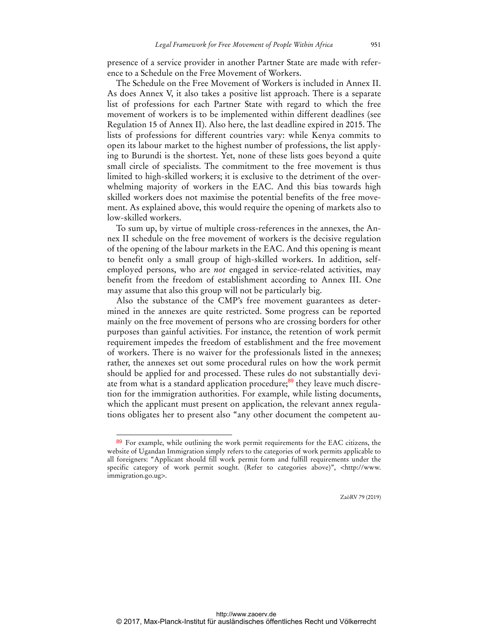presence of a service provider in another Partner State are made with reference to a Schedule on the Free Movement of Workers.

The Schedule on the Free Movement of Workers is included in Annex II. As does Annex V, it also takes a positive list approach. There is a separate list of professions for each Partner State with regard to which the free movement of workers is to be implemented within different deadlines (see Regulation 15 of Annex II). Also here, the last deadline expired in 2015. The lists of professions for different countries vary: while Kenya commits to open its labour market to the highest number of professions, the list applying to Burundi is the shortest. Yet, none of these lists goes beyond a quite small circle of specialists. The commitment to the free movement is thus limited to high-skilled workers; it is exclusive to the detriment of the overwhelming majority of workers in the EAC. And this bias towards high skilled workers does not maximise the potential benefits of the free movement. As explained above, this would require the opening of markets also to low-skilled workers.

To sum up, by virtue of multiple cross-references in the annexes, the Annex II schedule on the free movement of workers is the decisive regulation of the opening of the labour markets in the EAC. And this opening is meant to benefit only a small group of high-skilled workers. In addition, selfemployed persons, who are *not* engaged in service-related activities, may benefit from the freedom of establishment according to Annex III. One may assume that also this group will not be particularly big.

Also the substance of the CMP's free movement guarantees as determined in the annexes are quite restricted. Some progress can be reported mainly on the free movement of persons who are crossing borders for other purposes than gainful activities. For instance, the retention of work permit requirement impedes the freedom of establishment and the free movement of workers. There is no waiver for the professionals listed in the annexes; rather, the annexes set out some procedural rules on how the work permit should be applied for and processed. These rules do not substantially deviate from what is a standard application procedure;<sup>89</sup> they leave much discretion for the immigration authorities. For example, while listing documents, which the applicant must present on application, the relevant annex regulations obligates her to present also "any other document the competent au-

 $\overline{a}$ 

<sup>89</sup> For example, while outlining the work permit requirements for the EAC citizens, the website of Ugandan Immigration simply refers to the categories of work permits applicable to all foreigners: "Applicant should fill work permit form and fulfill requirements under the specific category of work permit sought. (Refer to categories above)", <http://www. immigration.go.ug>.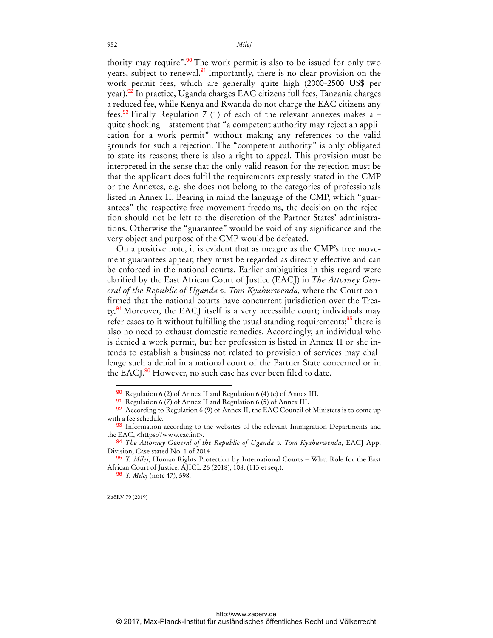thority may require".<sup>90</sup> The work permit is also to be issued for only two years, subject to renewal.<sup>91</sup> Importantly, there is no clear provision on the work permit fees, which are generally quite high (2000-2500 US\$ per year).<sup>92</sup> In practice, Uganda charges EAC citizens full fees, Tanzania charges a reduced fee, while Kenya and Rwanda do not charge the EAC citizens any fees.<sup>93</sup> Finally Regulation 7 (1) of each of the relevant annexes makes a  $$ quite shocking – statement that "a competent authority may reject an application for a work permit" without making any references to the valid grounds for such a rejection. The "competent authority" is only obligated to state its reasons; there is also a right to appeal. This provision must be interpreted in the sense that the only valid reason for the rejection must be that the applicant does fulfil the requirements expressly stated in the CMP or the Annexes, e.g. she does not belong to the categories of professionals listed in Annex II. Bearing in mind the language of the CMP, which "guarantees" the respective free movement freedoms, the decision on the rejection should not be left to the discretion of the Partner States' administrations. Otherwise the "guarantee" would be void of any significance and the very object and purpose of the CMP would be defeated.

On a positive note, it is evident that as meagre as the CMP's free movement guarantees appear, they must be regarded as directly effective and can be enforced in the national courts. Earlier ambiguities in this regard were clarified by the East African Court of Justice (EACJ) in *The Attorney General of the Republic of Uganda v. Tom Kyahurwenda,* where the Court confirmed that the national courts have concurrent jurisdiction over the Treaty.<sup>94</sup> Moreover, the EACJ itself is a very accessible court; individuals may refer cases to it without fulfilling the usual standing requirements;<sup>95</sup> there is also no need to exhaust domestic remedies. Accordingly, an individual who is denied a work permit, but her profession is listed in Annex II or she intends to establish a business not related to provision of services may challenge such a denial in a national court of the Partner State concerned or in the EACJ.<sup>96</sup> However, no such case has ever been filed to date.

96 *T. Milej* (note 47), 598.

ZaöRV 79 (2019)

<sup>90</sup> Regulation 6 (2) of Annex II and Regulation 6 (4) (e) of Annex III.

<sup>91</sup> Regulation 6 (7) of Annex II and Regulation 6 (5) of Annex III.

 $92$  According to Regulation 6 (9) of Annex II, the EAC Council of Ministers is to come up with a fee schedule.

<sup>93</sup> Information according to the websites of the relevant Immigration Departments and the EAC, <https://www.eac.int>.

<sup>94</sup> *The Attorney General of the Republic of Uganda v. Tom Kyahurwenda*, EACJ App. Division, Case stated No. 1 of 2014.

<sup>95</sup> *T. Milej*, Human Rights Protection by International Courts – What Role for the East African Court of Justice, AJICL 26 (2018), 108, (113 et seq.).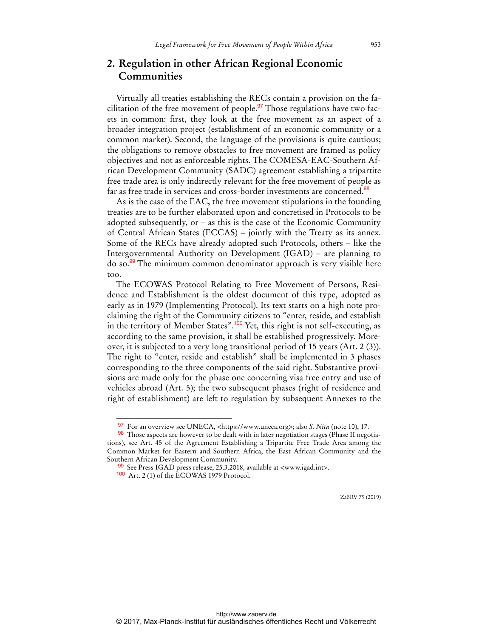# **2. Regulation in other African Regional Economic Communities**

Virtually all treaties establishing the RECs contain a provision on the facilitation of the free movement of people.<sup>97</sup> Those regulations have two facets in common: first, they look at the free movement as an aspect of a broader integration project (establishment of an economic community or a common market). Second, the language of the provisions is quite cautious; the obligations to remove obstacles to free movement are framed as policy objectives and not as enforceable rights. The COMESA-EAC-Southern African Development Community (SADC) agreement establishing a tripartite free trade area is only indirectly relevant for the free movement of people as far as free trade in services and cross-border investments are concerned.<sup>98</sup>

As is the case of the EAC, the free movement stipulations in the founding treaties are to be further elaborated upon and concretised in Protocols to be adopted subsequently, or – as this is the case of the Economic Community of Central African States (ECCAS) – jointly with the Treaty as its annex. Some of the RECs have already adopted such Protocols, others – like the Intergovernmental Authority on Development (IGAD) – are planning to do so.<sup>99</sup> The minimum common denominator approach is very visible here too.

The ECOWAS Protocol Relating to Free Movement of Persons, Residence and Establishment is the oldest document of this type, adopted as early as in 1979 (Implementing Protocol). Its text starts on a high note proclaiming the right of the Community citizens to "enter, reside, and establish in the territory of Member States".<sup>100</sup> Yet, this right is not self-executing, as according to the same provision, it shall be established progressively. Moreover, it is subjected to a very long transitional period of 15 years (Art. 2 (3)). The right to "enter, reside and establish" shall be implemented in 3 phases corresponding to the three components of the said right. Substantive provisions are made only for the phase one concerning visa free entry and use of vehicles abroad (Art. 5); the two subsequent phases (right of residence and right of establishment) are left to regulation by subsequent Annexes to the

<sup>97</sup> For an overview see UNECA, <https://www.uneca.org>; also *S. Nita* (note 10), 17.

<sup>98</sup> Those aspects are however to be dealt with in later negotiation stages (Phase II negotiations), see Art. 45 of the Agreement Establishing a Tripartite Free Trade Area among the Common Market for Eastern and Southern Africa, the East African Community and the Southern African Development Community.

<sup>99</sup> See Press IGAD press release, 25.3.2018, available at <www.igad.int>.

<sup>100</sup> Art. 2 (1) of the ECOWAS 1979 Protocol.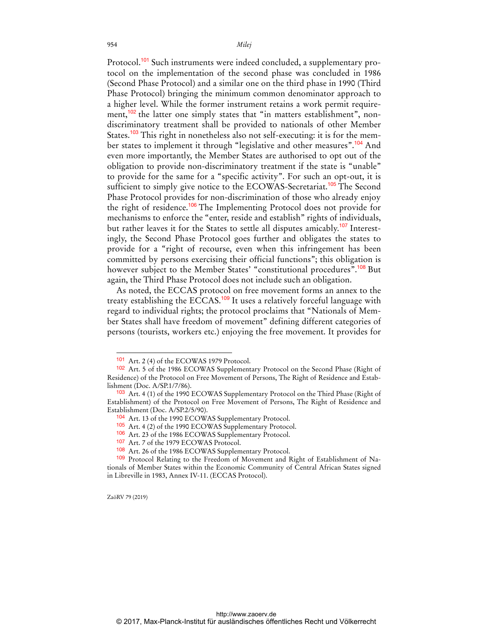Protocol.<sup>101</sup> Such instruments were indeed concluded, a supplementary protocol on the implementation of the second phase was concluded in 1986 (Second Phase Protocol) and a similar one on the third phase in 1990 (Third Phase Protocol) bringing the minimum common denominator approach to a higher level. While the former instrument retains a work permit requirement,<sup>102</sup> the latter one simply states that "in matters establishment", nondiscriminatory treatment shall be provided to nationals of other Member States.<sup>103</sup> This right in nonetheless also not self-executing: it is for the member states to implement it through "legislative and other measures".<sup>104</sup> And even more importantly, the Member States are authorised to opt out of the obligation to provide non-discriminatory treatment if the state is "unable" to provide for the same for a "specific activity". For such an opt-out, it is sufficient to simply give notice to the ECOWAS-Secretariat.<sup>105</sup> The Second Phase Protocol provides for non-discrimination of those who already enjoy the right of residence.<sup>106</sup> The Implementing Protocol does not provide for mechanisms to enforce the "enter, reside and establish" rights of individuals, but rather leaves it for the States to settle all disputes amicably.<sup>107</sup> Interestingly, the Second Phase Protocol goes further and obligates the states to provide for a "right of recourse, even when this infringement has been committed by persons exercising their official functions"; this obligation is however subject to the Member States' "constitutional procedures".<sup>108</sup> But again, the Third Phase Protocol does not include such an obligation.

As noted, the ECCAS protocol on free movement forms an annex to the treaty establishing the ECCAS.<sup>109</sup> It uses a relatively forceful language with regard to individual rights; the protocol proclaims that "Nationals of Member States shall have freedom of movement" defining different categories of persons (tourists, workers etc.) enjoying the free movement. It provides for

ZaöRV 79 (2019)

<sup>101</sup> Art. 2 (4) of the ECOWAS 1979 Protocol.

<sup>102</sup> Art. 5 of the 1986 ECOWAS Supplementary Protocol on the Second Phase (Right of Residence) of the Protocol on Free Movement of Persons, The Right of Residence and Establishment (Doc. A/SP.1/7/86).

<sup>103</sup> Art. 4 (1) of the 1990 ECOWAS Supplementary Protocol on the Third Phase (Right of Establishment) of the Protocol on Free Movement of Persons, The Right of Residence and Establishment (Doc. A/SP.2/5/90).

<sup>104</sup> Art. 13 of the 1990 ECOWAS Supplementary Protocol.

<sup>105</sup> Art. 4 (2) of the 1990 ECOWAS Supplementary Protocol.

<sup>106</sup> Art. 23 of the 1986 ECOWAS Supplementary Protocol.

<sup>107</sup> Art. 7 of the 1979 ECOWAS Protocol.

<sup>108</sup> Art. 26 of the 1986 ECOWAS Supplementary Protocol.

<sup>109</sup> Protocol Relating to the Freedom of Movement and Right of Establishment of Nationals of Member States within the Economic Community of Central African States signed in Libreville in 1983, Annex IV-11. (ECCAS Protocol).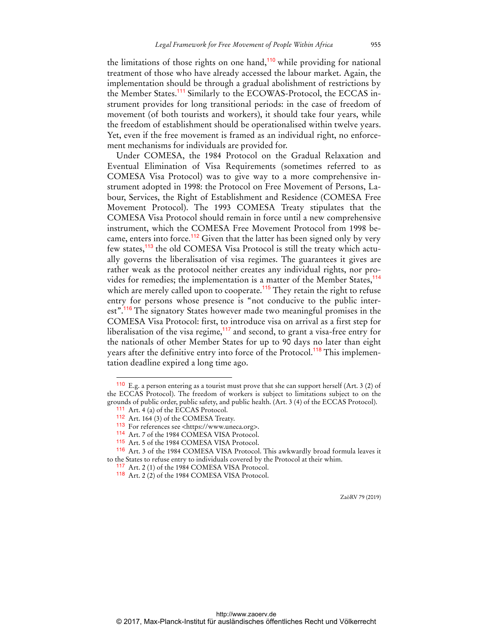the limitations of those rights on one hand,<sup>110</sup> while providing for national treatment of those who have already accessed the labour market. Again, the implementation should be through a gradual abolishment of restrictions by the Member States.<sup>111</sup> Similarly to the ECOWAS-Protocol, the ECCAS instrument provides for long transitional periods: in the case of freedom of movement (of both tourists and workers), it should take four years, while the freedom of establishment should be operationalised within twelve years. Yet, even if the free movement is framed as an individual right, no enforcement mechanisms for individuals are provided for.

Under COMESA, the 1984 Protocol on the Gradual Relaxation and Eventual Elimination of Visa Requirements (sometimes referred to as COMESA Visa Protocol) was to give way to a more comprehensive instrument adopted in 1998: the Protocol on Free Movement of Persons, Labour, Services, the Right of Establishment and Residence (COMESA Free Movement Protocol). The 1993 COMESA Treaty stipulates that the COMESA Visa Protocol should remain in force until a new comprehensive instrument, which the COMESA Free Movement Protocol from 1998 became, enters into force.<sup>112</sup> Given that the latter has been signed only by very few states,<sup>113</sup> the old COMESA Visa Protocol is still the treaty which actually governs the liberalisation of visa regimes. The guarantees it gives are rather weak as the protocol neither creates any individual rights, nor provides for remedies; the implementation is a matter of the Member States,<sup>114</sup> which are merely called upon to cooperate.<sup>115</sup> They retain the right to refuse entry for persons whose presence is "not conducive to the public interest".<sup>116</sup> The signatory States however made two meaningful promises in the COMESA Visa Protocol: first, to introduce visa on arrival as a first step for liberalisation of the visa regime,<sup>117</sup> and second, to grant a visa-free entry for the nationals of other Member States for up to 90 days no later than eight years after the definitive entry into force of the Protocol.<sup>118</sup> This implementation deadline expired a long time ago.

 $\overline{a}$ 

<sup>110</sup> E.g. a person entering as a tourist must prove that she can support herself (Art. 3 (2) of the ECCAS Protocol). The freedom of workers is subject to limitations subject to on the grounds of public order, public safety, and public health. (Art. 3 (4) of the ECCAS Protocol).

<sup>111</sup> Art. 4 (a) of the ECCAS Protocol.

<sup>112</sup> Art. 164 (3) of the COMESA Treaty.

<sup>113</sup> For references see <https://www.uneca.org>.

<sup>114</sup> Art. 7 of the 1984 COMESA VISA Protocol.

<sup>115</sup> Art. 5 of the 1984 COMESA VISA Protocol.

<sup>116</sup> Art. 3 of the 1984 COMESA VISA Protocol. This awkwardly broad formula leaves it to the States to refuse entry to individuals covered by the Protocol at their whim.

<sup>117</sup> Art. 2 (1) of the 1984 COMESA VISA Protocol.

<sup>118</sup> Art. 2 (2) of the 1984 COMESA VISA Protocol.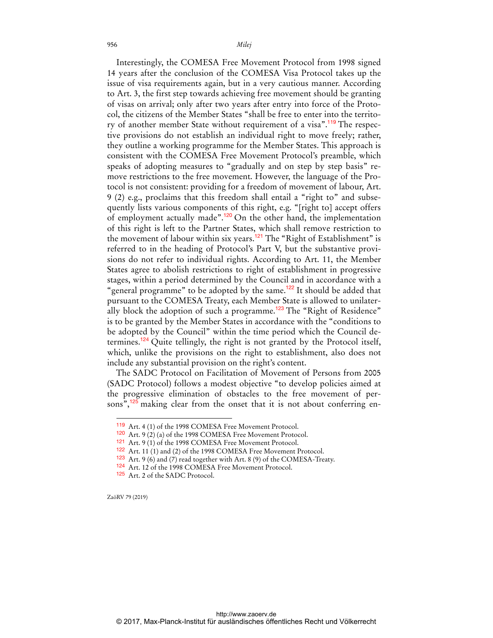956 *Milej*

Interestingly, the COMESA Free Movement Protocol from 1998 signed 14 years after the conclusion of the COMESA Visa Protocol takes up the issue of visa requirements again, but in a very cautious manner. According to Art. 3, the first step towards achieving free movement should be granting of visas on arrival; only after two years after entry into force of the Protocol, the citizens of the Member States "shall be free to enter into the territory of another member State without requirement of a visa".<sup>119</sup> The respective provisions do not establish an individual right to move freely; rather, they outline a working programme for the Member States. This approach is consistent with the COMESA Free Movement Protocol's preamble, which speaks of adopting measures to "gradually and on step by step basis" remove restrictions to the free movement. However, the language of the Protocol is not consistent: providing for a freedom of movement of labour, Art. 9 (2) e.g., proclaims that this freedom shall entail a "right to" and subsequently lists various components of this right, e.g. "[right to] accept offers of employment actually made".<sup>120</sup> On the other hand, the implementation of this right is left to the Partner States, which shall remove restriction to the movement of labour within six years.<sup>121</sup> The "Right of Establishment" is referred to in the heading of Protocol's Part V, but the substantive provisions do not refer to individual rights. According to Art. 11, the Member States agree to abolish restrictions to right of establishment in progressive stages, within a period determined by the Council and in accordance with a "general programme" to be adopted by the same.<sup>122</sup> It should be added that pursuant to the COMESA Treaty, each Member State is allowed to unilaterally block the adoption of such a programme.<sup>123</sup> The "Right of Residence" is to be granted by the Member States in accordance with the "conditions to be adopted by the Council" within the time period which the Council determines.<sup>124</sup> Quite tellingly, the right is not granted by the Protocol itself, which, unlike the provisions on the right to establishment, also does not include any substantial provision on the right's content.

The SADC Protocol on Facilitation of Movement of Persons from 2005 (SADC Protocol) follows a modest objective "to develop policies aimed at the progressive elimination of obstacles to the free movement of persons", $125$  making clear from the onset that it is not about conferring en-

ZaöRV 79 (2019)

<sup>119</sup> Art. 4 (1) of the 1998 COMESA Free Movement Protocol.

<sup>120</sup> Art. 9 (2) (a) of the 1998 COMESA Free Movement Protocol.

<sup>121</sup> Art. 9 (1) of the 1998 COMESA Free Movement Protocol.

<sup>122</sup> Art. 11 (1) and (2) of the 1998 COMESA Free Movement Protocol.

<sup>123</sup> Art. 9 (6) and (7) read together with Art. 8 (9) of the COMESA-Treaty.

<sup>124</sup> Art. 12 of the 1998 COMESA Free Movement Protocol.

<sup>125</sup> Art. 2 of the SADC Protocol.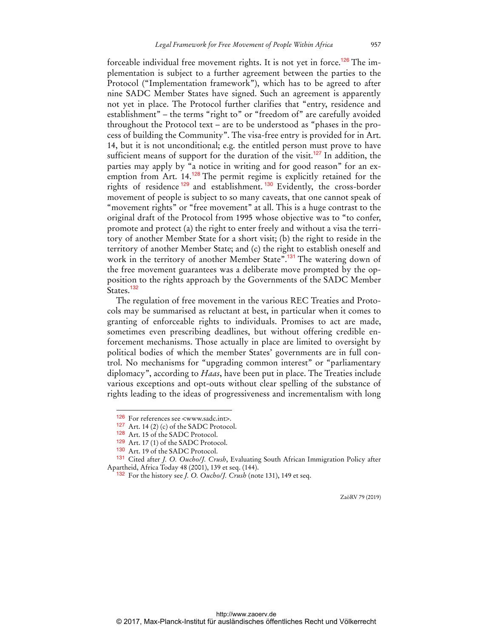forceable individual free movement rights. It is not yet in force.<sup>126</sup> The implementation is subject to a further agreement between the parties to the Protocol ("Implementation framework"), which has to be agreed to after nine SADC Member States have signed. Such an agreement is apparently not yet in place. The Protocol further clarifies that "entry, residence and establishment" – the terms "right to" or "freedom of" are carefully avoided throughout the Protocol text – are to be understood as "phases in the process of building the Community". The visa-free entry is provided for in Art. 14, but it is not unconditional; e.g. the entitled person must prove to have sufficient means of support for the duration of the visit.<sup>127</sup> In addition, the parties may apply by "a notice in writing and for good reason" for an exemption from Art. 14.<sup>128</sup> The permit regime is explicitly retained for the rights of residence <sup>129</sup> and establishment. <sup>130</sup> Evidently, the cross-border movement of people is subject to so many caveats, that one cannot speak of "movement rights" or "free movement" at all. This is a huge contrast to the original draft of the Protocol from 1995 whose objective was to "to confer, promote and protect (a) the right to enter freely and without a visa the territory of another Member State for a short visit; (b) the right to reside in the territory of another Member State; and (c) the right to establish oneself and work in the territory of another Member State".<sup>131</sup> The watering down of the free movement guarantees was a deliberate move prompted by the opposition to the rights approach by the Governments of the SADC Member States.<sup>132</sup>

The regulation of free movement in the various REC Treaties and Protocols may be summarised as reluctant at best, in particular when it comes to granting of enforceable rights to individuals. Promises to act are made, sometimes even prescribing deadlines, but without offering credible enforcement mechanisms. Those actually in place are limited to oversight by political bodies of which the member States' governments are in full control. No mechanisms for "upgrading common interest" or "parliamentary diplomacy", according to *Haas*, have been put in place. The Treaties include various exceptions and opt-outs without clear spelling of the substance of rights leading to the ideas of progressiveness and incrementalism with long

 $\overline{a}$ 

<sup>126</sup> For references see <www.sadc.int>.

 $127$  Art. 14 (2) (c) of the SADC Protocol.

<sup>128</sup> Art. 15 of the SADC Protocol.

<sup>129</sup> Art. 17 (1) of the SADC Protocol.

<sup>130</sup> Art. 19 of the SADC Protocol.

<sup>131</sup> Cited after *J. O. Oucho/J. Crush*, Evaluating South African Immigration Policy after Apartheid, Africa Today 48 (2001), 139 et seq. (144).

<sup>132</sup> For the history see *J. O. Oucho/J. Crush* (note 131), 149 et seq.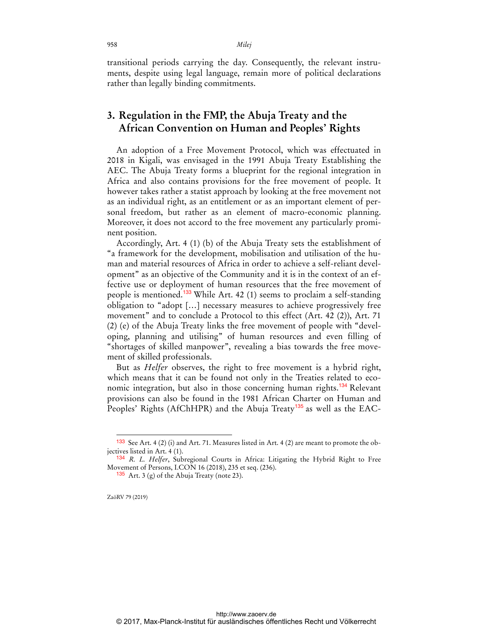958 *Milej*

transitional periods carrying the day. Consequently, the relevant instruments, despite using legal language, remain more of political declarations rather than legally binding commitments.

# **3. Regulation in the FMP, the Abuja Treaty and the African Convention on Human and Peoples' Rights**

An adoption of a Free Movement Protocol, which was effectuated in 2018 in Kigali, was envisaged in the 1991 Abuja Treaty Establishing the AEC. The Abuja Treaty forms a blueprint for the regional integration in Africa and also contains provisions for the free movement of people. It however takes rather a statist approach by looking at the free movement not as an individual right, as an entitlement or as an important element of personal freedom, but rather as an element of macro-economic planning. Moreover, it does not accord to the free movement any particularly prominent position.

Accordingly, Art. 4 (1) (b) of the Abuja Treaty sets the establishment of "a framework for the development, mobilisation and utilisation of the human and material resources of Africa in order to achieve a self-reliant development" as an objective of the Community and it is in the context of an effective use or deployment of human resources that the free movement of people is mentioned.<sup>133</sup> While Art. 42 (1) seems to proclaim a self-standing obligation to "adopt […] necessary measures to achieve progressively free movement" and to conclude a Protocol to this effect (Art. 42 (2)), Art. 71 (2) (e) of the Abuja Treaty links the free movement of people with "developing, planning and utilising" of human resources and even filling of "shortages of skilled manpower", revealing a bias towards the free movement of skilled professionals.

But as *Helfer* observes, the right to free movement is a hybrid right, which means that it can be found not only in the Treaties related to economic integration, but also in those concerning human rights.<sup>134</sup> Relevant provisions can also be found in the 1981 African Charter on Human and Peoples' Rights (AfChHPR) and the Abuja Treaty<sup>135</sup> as well as the EAC-

ZaöRV 79 (2019)

<sup>&</sup>lt;sup>133</sup> See Art. 4 (2) (i) and Art. 71. Measures listed in Art. 4 (2) are meant to promote the objectives listed in Art. 4 (1).

<sup>134</sup> *R. L. Helfer*, Subregional Courts in Africa: Litigating the Hybrid Right to Free Movement of Persons, I.CON 16 (2018), 235 et seq. (236).

 $135$  Art. 3 (g) of the Abuja Treaty (note 23).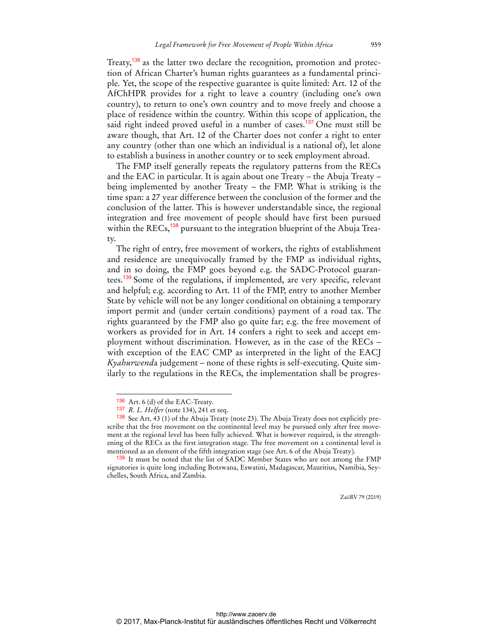Treaty,<sup>136</sup> as the latter two declare the recognition, promotion and protection of African Charter's human rights guarantees as a fundamental principle. Yet, the scope of the respective guarantee is quite limited: Art. 12 of the AfChHPR provides for a right to leave a country (including one's own country), to return to one's own country and to move freely and choose a place of residence within the country. Within this scope of application, the said right indeed proved useful in a number of cases.<sup>137</sup> One must still be aware though, that Art. 12 of the Charter does not confer a right to enter any country (other than one which an individual is a national of), let alone to establish a business in another country or to seek employment abroad.

The FMP itself generally repeats the regulatory patterns from the RECs and the EAC in particular. It is again about one Treaty – the Abuja Treaty – being implemented by another Treaty – the FMP. What is striking is the time span: a 27 year difference between the conclusion of the former and the conclusion of the latter. This is however understandable since, the regional integration and free movement of people should have first been pursued within the RECs,<sup>138</sup> pursuant to the integration blueprint of the Abuja Treaty.

The right of entry, free movement of workers, the rights of establishment and residence are unequivocally framed by the FMP as individual rights, and in so doing, the FMP goes beyond e.g. the SADC-Protocol guarantees.<sup>139</sup> Some of the regulations, if implemented, are very specific, relevant and helpful; e.g. according to Art. 11 of the FMP, entry to another Member State by vehicle will not be any longer conditional on obtaining a temporary import permit and (under certain conditions) payment of a road tax. The rights guaranteed by the FMP also go quite far; e.g. the free movement of workers as provided for in Art. 14 confers a right to seek and accept employment without discrimination. However, as in the case of the RECs – with exception of the EAC CMP as interpreted in the light of the EACJ *Kyahurwend*a judgement – none of these rights is self-executing. Quite similarly to the regulations in the RECs, the implementation shall be progres-

<sup>136</sup> Art. 6 (d) of the EAC-Treaty.

<sup>137</sup> *R. L. Helfer* (note 134), 241 et seq.

<sup>138</sup> See Art. 43 (1) of the Abuja Treaty (note 23). The Abuja Treaty does not explicitly prescribe that the free movement on the continental level may be pursued only after free movement at the regional level has been fully achieved. What is however required, is the strengthening of the RECs as the first integration stage. The free movement on a continental level is mentioned as an element of the fifth integration stage (see Art. 6 of the Abuja Treaty).

<sup>139</sup> It must be noted that the list of SADC Member States who are not among the FMP signatories is quite long including Botswana, Eswatini, Madagascar, Mauritius, Namibia, Seychelles, South Africa, and Zambia.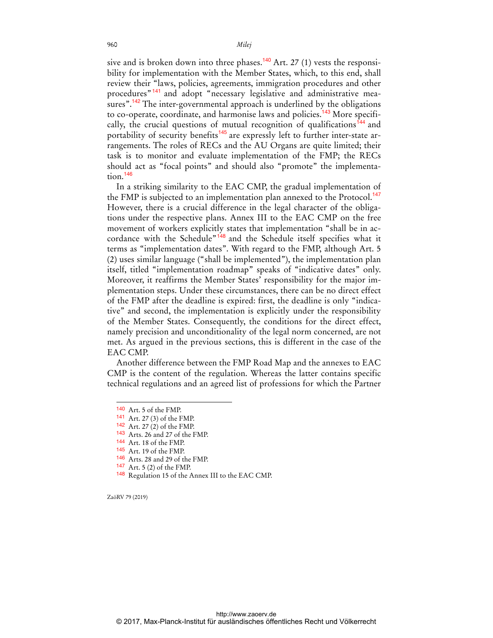sive and is broken down into three phases.<sup>140</sup> Art. 27 (1) vests the responsibility for implementation with the Member States, which, to this end, shall review their "laws, policies, agreements, immigration procedures and other procedures" <sup>141</sup> and adopt "necessary legislative and administrative measures".<sup>142</sup> The inter-governmental approach is underlined by the obligations to co-operate, coordinate, and harmonise laws and policies.<sup>143</sup> More specifically, the crucial questions of mutual recognition of qualifications<sup>144</sup> and portability of security benefits<sup>145</sup> are expressly left to further inter-state arrangements. The roles of RECs and the AU Organs are quite limited; their task is to monitor and evaluate implementation of the FMP; the RECs should act as "focal points" and should also "promote" the implementation.<sup>146</sup>

In a striking similarity to the EAC CMP, the gradual implementation of the FMP is subjected to an implementation plan annexed to the Protocol.<sup>147</sup> However, there is a crucial difference in the legal character of the obligations under the respective plans. Annex III to the EAC CMP on the free movement of workers explicitly states that implementation "shall be in accordance with the Schedule<sup>"148</sup> and the Schedule itself specifies what it terms as "implementation dates". With regard to the FMP, although Art. 5 (2) uses similar language ("shall be implemented"), the implementation plan itself, titled "implementation roadmap" speaks of "indicative dates" only. Moreover, it reaffirms the Member States' responsibility for the major implementation steps. Under these circumstances, there can be no direct effect of the FMP after the deadline is expired: first, the deadline is only "indicative" and second, the implementation is explicitly under the responsibility of the Member States. Consequently, the conditions for the direct effect, namely precision and unconditionality of the legal norm concerned, are not met. As argued in the previous sections, this is different in the case of the EAC CMP.

Another difference between the FMP Road Map and the annexes to EAC CMP is the content of the regulation. Whereas the latter contains specific technical regulations and an agreed list of professions for which the Partner

ZaöRV 79 (2019)

<sup>140</sup> Art. 5 of the FMP.

<sup>141</sup> Art. 27 (3) of the FMP.

<sup>142</sup> Art. 27 (2) of the FMP.

<sup>143</sup> Arts. 26 and 27 of the FMP.

<sup>144</sup> Art. 18 of the FMP.

<sup>145</sup> Art. 19 of the FMP.

<sup>146</sup> Arts. 28 and 29 of the FMP.

<sup>147</sup> Art. 5 (2) of the FMP.

<sup>148</sup> Regulation 15 of the Annex III to the EAC CMP.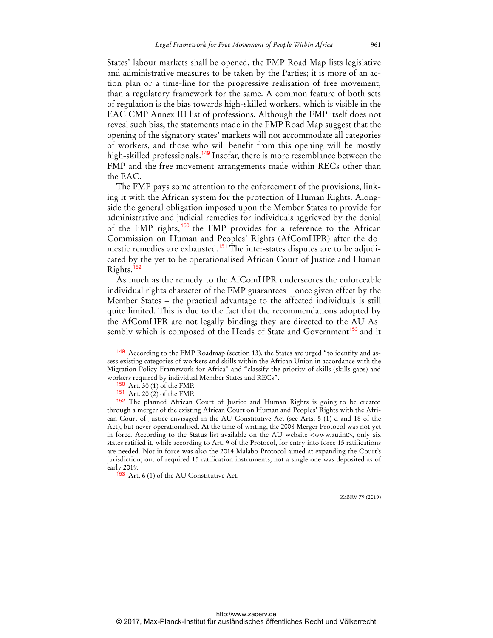States' labour markets shall be opened, the FMP Road Map lists legislative and administrative measures to be taken by the Parties; it is more of an action plan or a time-line for the progressive realisation of free movement, than a regulatory framework for the same. A common feature of both sets of regulation is the bias towards high-skilled workers, which is visible in the EAC CMP Annex III list of professions. Although the FMP itself does not reveal such bias, the statements made in the FMP Road Map suggest that the opening of the signatory states' markets will not accommodate all categories of workers, and those who will benefit from this opening will be mostly high-skilled professionals.<sup>149</sup> Insofar, there is more resemblance between the FMP and the free movement arrangements made within RECs other than the EAC.

The FMP pays some attention to the enforcement of the provisions, linking it with the African system for the protection of Human Rights. Alongside the general obligation imposed upon the Member States to provide for administrative and judicial remedies for individuals aggrieved by the denial of the FMP rights,<sup>150</sup> the FMP provides for a reference to the African Commission on Human and Peoples' Rights (AfComHPR) after the domestic remedies are exhausted.<sup>151</sup> The inter-states disputes are to be adjudicated by the yet to be operationalised African Court of Justice and Human Rights.<sup>152</sup>

As much as the remedy to the AfComHPR underscores the enforceable individual rights character of the FMP guarantees – once given effect by the Member States – the practical advantage to the affected individuals is still quite limited. This is due to the fact that the recommendations adopted by the AfComHPR are not legally binding; they are directed to the AU Assembly which is composed of the Heads of State and Government<sup>153</sup> and it

 $\overline{a}$ 

<sup>149</sup> According to the FMP Roadmap (section 13), the States are urged "to identify and assess existing categories of workers and skills within the African Union in accordance with the Migration Policy Framework for Africa" and "classify the priority of skills (skills gaps) and workers required by individual Member States and RECs".

<sup>150</sup> Art. 30 (1) of the FMP.

<sup>151</sup> Art. 20 (2) of the FMP.

<sup>152</sup> The planned African Court of Justice and Human Rights is going to be created through a merger of the existing African Court on Human and Peoples' Rights with the African Court of Justice envisaged in the AU Constitutive Act (see Arts. 5 (1) d and 18 of the Act), but never operationalised. At the time of writing, the 2008 Merger Protocol was not yet in force. According to the Status list available on the AU website <www.au.int>, only six states ratified it, while according to Art. 9 of the Protocol, for entry into force 15 ratifications are needed. Not in force was also the 2014 Malabo Protocol aimed at expanding the Court's jurisdiction; out of required 15 ratification instruments, not a single one was deposited as of early 2019.

 $153$  Art. 6 (1) of the AU Constitutive Act.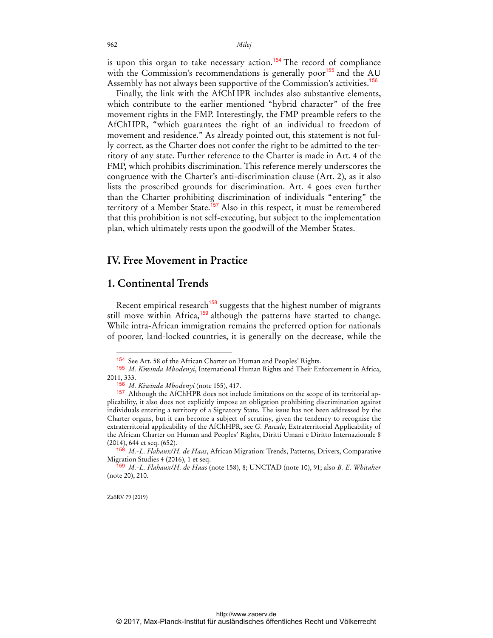is upon this organ to take necessary action.<sup>154</sup> The record of compliance with the Commission's recommendations is generally poor<sup>155</sup> and the AU Assembly has not always been supportive of the Commission's activities.<sup>156</sup>

Finally, the link with the AfChHPR includes also substantive elements, which contribute to the earlier mentioned "hybrid character" of the free movement rights in the FMP. Interestingly, the FMP preamble refers to the AfChHPR, "which guarantees the right of an individual to freedom of movement and residence." As already pointed out, this statement is not fully correct, as the Charter does not confer the right to be admitted to the territory of any state. Further reference to the Charter is made in Art. 4 of the FMP, which prohibits discrimination. This reference merely underscores the congruence with the Charter's anti-discrimination clause (Art. 2), as it also lists the proscribed grounds for discrimination. Art. 4 goes even further than the Charter prohibiting discrimination of individuals "entering" the territory of a Member State.<sup>157</sup> Also in this respect, it must be remembered that this prohibition is not self-executing, but subject to the implementation plan, which ultimately rests upon the goodwill of the Member States.

#### **IV. Free Movement in Practice**

# **1. Continental Trends**

Recent empirical research<sup>158</sup> suggests that the highest number of migrants still move within Africa,<sup>159</sup> although the patterns have started to change. While intra-African immigration remains the preferred option for nationals of poorer, land-locked countries, it is generally on the decrease, while the

<sup>154</sup> See Art. 58 of the African Charter on Human and Peoples' Rights.

<sup>155</sup> *M. Kiwinda Mbodenyi*, International Human Rights and Their Enforcement in Africa, 2011, 333.

<sup>156</sup> *M. Kiwinda Mbodenyi* (note 155), 417.

<sup>157</sup> Although the AfChHPR does not include limitations on the scope of its territorial applicability, it also does not explicitly impose an obligation prohibiting discrimination against individuals entering a territory of a Signatory State. The issue has not been addressed by the Charter organs, but it can become a subject of scrutiny, given the tendency to recognise the extraterritorial applicability of the AfChHPR, see *G. Pascale*, Extraterritorial Applicability of the African Charter on Human and Peoples' Rights, Diritti Umani e Diritto Internazionale 8 (2014), 644 et seq. (652).

<sup>158</sup> *M.-L. Flahaux/H. de Haas*, African Migration: Trends, Patterns, Drivers, Comparative Migration Studies 4 (2016), 1 et seq.

<sup>159</sup> *M.-L. Flahaux/H. de Haas* (note 158), 8; UNCTAD (note 10), 91; also *B. E. Whitaker* (note 20), 210.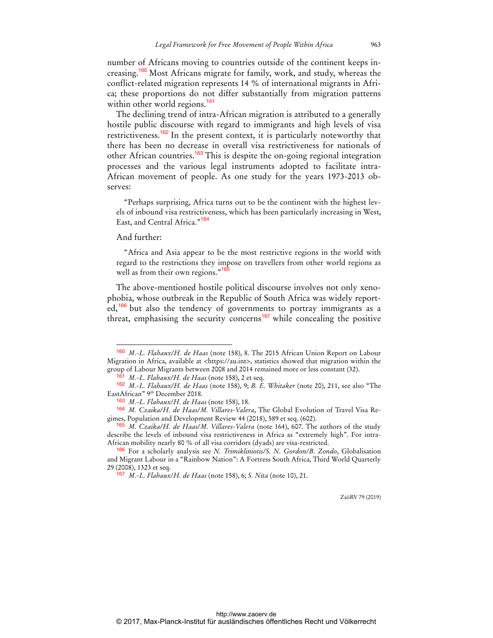number of Africans moving to countries outside of the continent keeps increasing.<sup>160</sup> Most Africans migrate for family, work, and study, whereas the conflict-related migration represents 14 % of international migrants in Africa; these proportions do not differ substantially from migration patterns within other world regions.<sup>161</sup>

The declining trend of intra-African migration is attributed to a generally hostile public discourse with regard to immigrants and high levels of visa restrictiveness.<sup>162</sup> In the present context, it is particularly noteworthy that there has been no decrease in overall visa restrictiveness for nationals of other African countries.<sup>163</sup> This is despite the on-going regional integration processes and the various legal instruments adopted to facilitate intra-African movement of people. As one study for the years 1973-2013 observes:

"Perhaps surprising, Africa turns out to be the continent with the highest levels of inbound visa restrictiveness, which has been particularly increasing in West, East, and Central Africa."<sup>164</sup>

#### And further:

 $\overline{a}$ 

"Africa and Asia appear to be the most restrictive regions in the world with regard to the restrictions they impose on travellers from other world regions as well as from their own regions."<sup>165</sup>

The above-mentioned hostile political discourse involves not only xenophobia, whose outbreak in the Republic of South Africa was widely reported,<sup>166</sup> but also the tendency of governments to portray immigrants as a threat, emphasising the security concerns<sup>167</sup> while concealing the positive

<sup>160</sup> *M.-L. Flahaux/H. de Haas* (note 158), 8. The 2015 African Union Report on Labour Migration in Africa, available at <https://au.int>, statistics showed that migration within the group of Labour Migrants between 2008 and 2014 remained more or less constant (32).

<sup>161</sup> *M.-L. Flahaux/H. de Haas* (note 158), 2 et seq.

<sup>162</sup> *M.-L. Flahaux/H. de Haas* (note 158), 9; *B. E. Whitaker* (note 20), 211, see also "The EastAfrican" 9th December 2018.

<sup>163</sup> *M.-L. Flahaux/H. de Haas* (note 158), 18.

<sup>164</sup> *M. Czaika/H. de Haas/M. Villares-Valera*, The Global Evolution of Travel Visa Regimes, Population and Development Review 44 (2018), 589 et seq. (602).

<sup>165</sup> *M. Czaika/H. de Haas/M. Villares-Valera* (note 164), 607. The authors of the study describe the levels of inbound visa restrictiveness in Africa as "extremely high". For intra-African mobility nearly 80 % of all visa corridors (dyads) are visa-restricted.

<sup>166</sup> For a scholarly analysis see *N. Trimikliniotis/S. N. Gordon/B. Zondo*, Globalisation and Migrant Labour in a "Rainbow Nation": A Fortress South Africa, Third World Quarterly 29 (2008), 1323 et seq.

<sup>167</sup> *M.-L. Flahaux/H. de Haas* (note 158), 6; *S. Nita* (note 10), 21.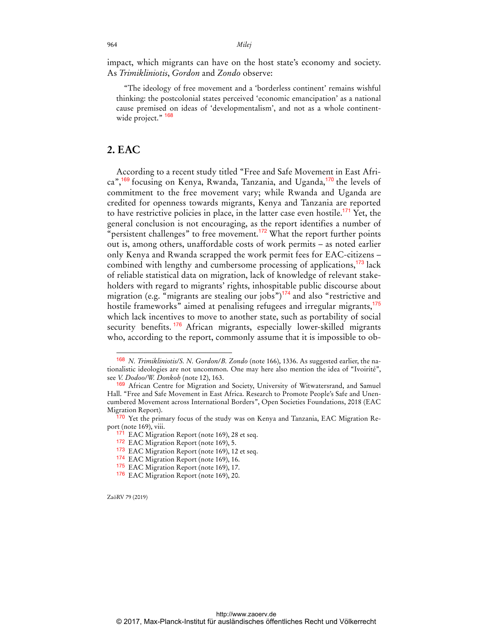impact, which migrants can have on the host state's economy and society. As *Trimikliniotis*, *Gordon* and *Zondo* observe:

"The ideology of free movement and a 'borderless continent' remains wishful thinking: the postcolonial states perceived 'economic emancipation' as a national cause premised on ideas of 'developmentalism', and not as a whole continentwide project." <sup>168</sup>

## **2. EAC**

According to a recent study titled "Free and Safe Movement in East Africa",<sup>169</sup> focusing on Kenya, Rwanda, Tanzania, and Uganda,<sup>170</sup> the levels of commitment to the free movement vary; while Rwanda and Uganda are credited for openness towards migrants, Kenya and Tanzania are reported to have restrictive policies in place, in the latter case even hostile.<sup>171</sup> Yet, the general conclusion is not encouraging, as the report identifies a number of "persistent challenges" to free movement.<sup>172</sup> What the report further points out is, among others, unaffordable costs of work permits – as noted earlier only Kenya and Rwanda scrapped the work permit fees for EAC-citizens – combined with lengthy and cumbersome processing of applications,<sup>173</sup> lack of reliable statistical data on migration, lack of knowledge of relevant stakeholders with regard to migrants' rights, inhospitable public discourse about migration (e.g. "migrants are stealing our jobs") $174$  and also "restrictive and hostile frameworks" aimed at penalising refugees and irregular migrants,<sup>175</sup> which lack incentives to move to another state, such as portability of social security benefits. <sup>176</sup> African migrants, especially lower-skilled migrants who, according to the report, commonly assume that it is impossible to ob-

ZaöRV 79 (2019)

<sup>168</sup> *N. Trimikliniotis/S. N. Gordon/B. Zondo* (note 166), 1336. As suggested earlier, the nationalistic ideologies are not uncommon. One may here also mention the idea of "Ivoirité", see *V. Dodoo/W. Donkoh* (note 12), 163.

<sup>169</sup> African Centre for Migration and Society, University of Witwatersrand, and Samuel Hall. "Free and Safe Movement in East Africa. Research to Promote People's Safe and Unencumbered Movement across International Borders", Open Societies Foundations, 2018 (EAC Migration Report).

<sup>&</sup>lt;sup>170</sup> Yet the primary focus of the study was on Kenya and Tanzania, EAC Migration Report (note 169), viii.

<sup>&</sup>lt;sup>171</sup> EAC Migration Report (note 169), 28 et seq.

<sup>172</sup> EAC Migration Report (note 169), 5.

<sup>173</sup> EAC Migration Report (note 169), 12 et seq.

<sup>174</sup> EAC Migration Report (note 169), 16.

<sup>175</sup> EAC Migration Report (note 169), 17.

<sup>176</sup> EAC Migration Report (note 169), 20.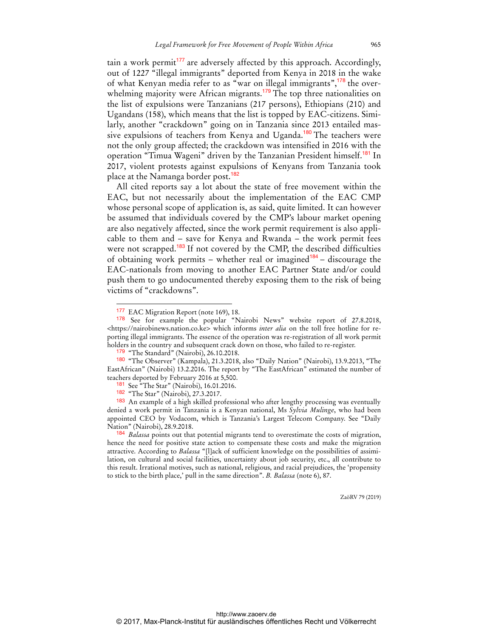tain a work permit<sup>177</sup> are adversely affected by this approach. Accordingly, out of 1227 "illegal immigrants" deported from Kenya in 2018 in the wake of what Kenyan media refer to as "war on illegal immigrants",<sup>178</sup> the overwhelming majority were African migrants.<sup>179</sup> The top three nationalities on the list of expulsions were Tanzanians (217 persons), Ethiopians (210) and Ugandans (158), which means that the list is topped by EAC-citizens. Similarly, another "crackdown" going on in Tanzania since 2013 entailed massive expulsions of teachers from Kenya and Uganda.<sup>180</sup> The teachers were not the only group affected; the crackdown was intensified in 2016 with the operation "Timua Wageni" driven by the Tanzanian President himself.<sup>181</sup> In 2017, violent protests against expulsions of Kenyans from Tanzania took place at the Namanga border post.<sup>182</sup>

All cited reports say a lot about the state of free movement within the EAC, but not necessarily about the implementation of the EAC CMP whose personal scope of application is, as said, quite limited. It can however be assumed that individuals covered by the CMP's labour market opening are also negatively affected, since the work permit requirement is also applicable to them and – save for Kenya and Rwanda – the work permit fees were not scrapped.<sup>183</sup> If not covered by the CMP, the described difficulties of obtaining work permits – whether real or imagined<sup>184</sup> – discourage the EAC-nationals from moving to another EAC Partner State and/or could push them to go undocumented thereby exposing them to the risk of being victims of "crackdowns".

 $\overline{a}$ 

<sup>&</sup>lt;sup>177</sup> EAC Migration Report (note 169), 18.

<sup>178</sup> See for example the popular "Nairobi News" website report of 27.8.2018, <https://nairobinews.nation.co.ke> which informs *inter alia* on the toll free hotline for reporting illegal immigrants. The essence of the operation was re-registration of all work permit holders in the country and subsequent crack down on those, who failed to re-register.

<sup>&</sup>lt;sup>179</sup> "The Standard" (Nairobi), 26.10.2018.

<sup>180</sup> "The Observer" (Kampala), 21.3.2018, also "Daily Nation" (Nairobi), 13.9.2013, "The EastAfrican" (Nairobi) 13.2.2016. The report by "The EastAfrican" estimated the number of teachers deported by February 2016 at 5,500.

<sup>181</sup> See "The Star" (Nairobi), 16.01.2016.

<sup>182</sup> "The Star" (Nairobi), 27.3.2017.

<sup>183</sup> An example of a high skilled professional who after lengthy processing was eventually denied a work permit in Tanzania is a Kenyan national, Ms *Sylvia Mulinge*, who had been appointed CEO by Vodacom, which is Tanzania's Largest Telecom Company. See "Daily Nation" (Nairobi), 28.9.2018.

<sup>184</sup> *Balassa* points out that potential migrants tend to overestimate the costs of migration, hence the need for positive state action to compensate these costs and make the migration attractive. According to *Balassa* "[l]ack of sufficient knowledge on the possibilities of assimilation, on cultural and social facilities, uncertainty about job security, etc., all contribute to this result. Irrational motives, such as national, religious, and racial prejudices, the 'propensity to stick to the birth place,' pull in the same direction". *B. Balassa* (note 6), 87.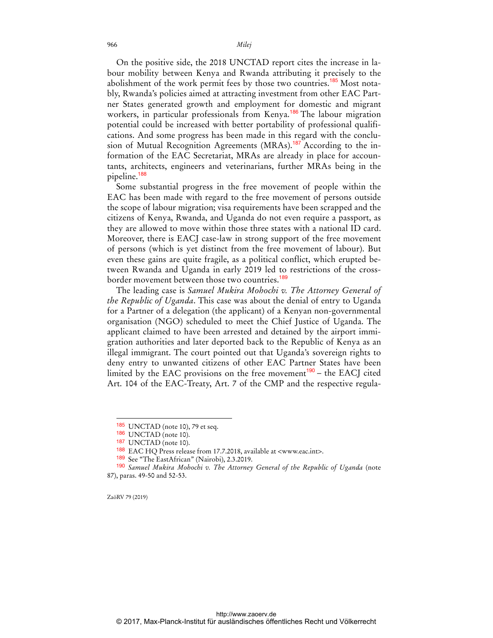On the positive side, the 2018 UNCTAD report cites the increase in labour mobility between Kenya and Rwanda attributing it precisely to the abolishment of the work permit fees by those two countries.<sup>185</sup> Most notably, Rwanda's policies aimed at attracting investment from other EAC Partner States generated growth and employment for domestic and migrant workers, in particular professionals from Kenya.<sup>186</sup> The labour migration potential could be increased with better portability of professional qualifications. And some progress has been made in this regard with the conclusion of Mutual Recognition Agreements (MRAs).<sup>187</sup> According to the information of the EAC Secretariat, MRAs are already in place for accountants, architects, engineers and veterinarians, further MRAs being in the pipeline.<sup>188</sup>

Some substantial progress in the free movement of people within the EAC has been made with regard to the free movement of persons outside the scope of labour migration; visa requirements have been scrapped and the citizens of Kenya, Rwanda, and Uganda do not even require a passport, as they are allowed to move within those three states with a national ID card. Moreover, there is EACJ case-law in strong support of the free movement of persons (which is yet distinct from the free movement of labour). But even these gains are quite fragile, as a political conflict, which erupted between Rwanda and Uganda in early 2019 led to restrictions of the crossborder movement between those two countries.<sup>189</sup>

The leading case is *Samuel Mukira Mohochi v. The Attorney General of the Republic of Uganda*. This case was about the denial of entry to Uganda for a Partner of a delegation (the applicant) of a Kenyan non-governmental organisation (NGO) scheduled to meet the Chief Justice of Uganda. The applicant claimed to have been arrested and detained by the airport immigration authorities and later deported back to the Republic of Kenya as an illegal immigrant. The court pointed out that Uganda's sovereign rights to deny entry to unwanted citizens of other EAC Partner States have been limited by the EAC provisions on the free movement $190 -$  the EACJ cited Art. 104 of the EAC-Treaty, Art. 7 of the CMP and the respective regula-

ZaöRV 79 (2019)

<sup>185</sup> UNCTAD (note 10), 79 et seq.

<sup>186</sup> UNCTAD (note 10).

<sup>187</sup> UNCTAD (note 10).

<sup>188</sup> EAC HQ Press release from 17.7.2018, available at <www.eac.int>.

<sup>189</sup> See "The EastAfrican" (Nairobi), 2.3.2019.

<sup>190</sup> *Samuel Mukira Mohochi v. The Attorney General of the Republic of Uganda* (note 87), paras. 49-50 and 52-53.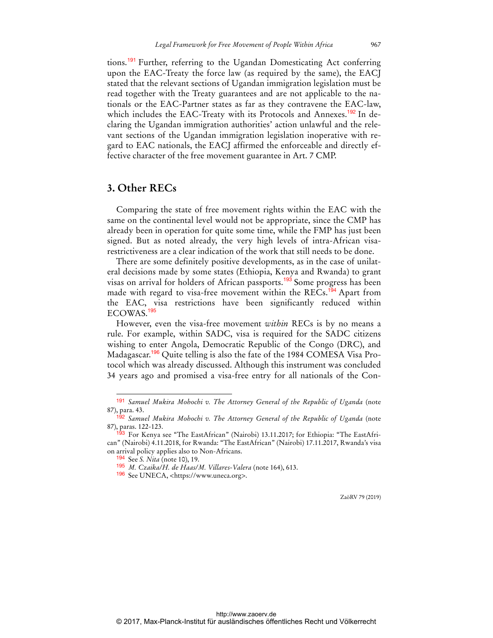tions.<sup>191</sup> Further, referring to the Ugandan Domesticating Act conferring upon the EAC-Treaty the force law (as required by the same), the EACJ stated that the relevant sections of Ugandan immigration legislation must be read together with the Treaty guarantees and are not applicable to the nationals or the EAC-Partner states as far as they contravene the EAC-law, which includes the EAC-Treaty with its Protocols and Annexes.<sup>192</sup> In declaring the Ugandan immigration authorities' action unlawful and the relevant sections of the Ugandan immigration legislation inoperative with regard to EAC nationals, the EACJ affirmed the enforceable and directly effective character of the free movement guarantee in Art. 7 CMP.

# **3. Other RECs**

Comparing the state of free movement rights within the EAC with the same on the continental level would not be appropriate, since the CMP has already been in operation for quite some time, while the FMP has just been signed. But as noted already, the very high levels of intra-African visarestrictiveness are a clear indication of the work that still needs to be done.

There are some definitely positive developments, as in the case of unilateral decisions made by some states (Ethiopia, Kenya and Rwanda) to grant visas on arrival for holders of African passports.<sup>193</sup> Some progress has been made with regard to visa-free movement within the RECs.<sup>194</sup> Apart from the EAC, visa restrictions have been significantly reduced within ECOWAS.<sup>195</sup>

However, even the visa-free movement *within* RECs is by no means a rule. For example, within SADC, visa is required for the SADC citizens wishing to enter Angola, Democratic Republic of the Congo (DRC), and Madagascar.<sup>196</sup> Quite telling is also the fate of the 1984 COMESA Visa Protocol which was already discussed. Although this instrument was concluded 34 years ago and promised a visa-free entry for all nationals of the Con-

 $\overline{a}$ 

<sup>191</sup> *Samuel Mukira Mohochi v. The Attorney General of the Republic of Uganda* (note 87), para. 43.

<sup>192</sup> *Samuel Mukira Mohochi v. The Attorney General of the Republic of Uganda* (note 87), paras. 122-123.

<sup>93</sup> For Kenya see "The EastAfrican" (Nairobi) 13.11.2017; for Ethiopia: "The EastAfrican" (Nairobi) 4.11.2018, for Rwanda: "The EastAfrican" (Nairobi) 17.11.2017, Rwanda's visa on arrival policy applies also to Non-Africans.

<sup>194</sup> See *S. Nita* (note 10), 19.

<sup>195</sup> *M. Czaika/H. de Haas/M. Villares-Valera* (note 164), 613.

<sup>196</sup> See UNECA, <https://www.uneca.org>.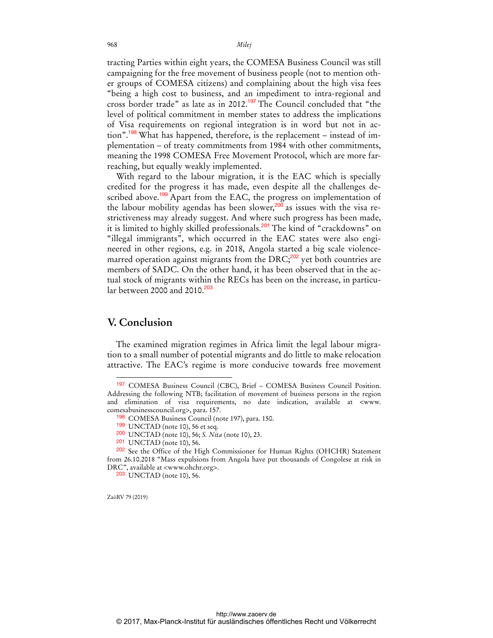tracting Parties within eight years, the COMESA Business Council was still campaigning for the free movement of business people (not to mention other groups of COMESA citizens) and complaining about the high visa fees "being a high cost to business, and an impediment to intra-regional and cross border trade" as late as in 2012.<sup>197</sup> The Council concluded that "the level of political commitment in member states to address the implications of Visa requirements on regional integration is in word but not in action".<sup>198</sup> What has happened, therefore, is the replacement – instead of implementation – of treaty commitments from 1984 with other commitments, meaning the 1998 COMESA Free Movement Protocol, which are more farreaching, but equally weakly implemented.

With regard to the labour migration, it is the EAC which is specially credited for the progress it has made, even despite all the challenges described above.<sup>199</sup> Apart from the EAC, the progress on implementation of the labour mobility agendas has been slower,<sup>200</sup> as issues with the visa restrictiveness may already suggest. And where such progress has been made, it is limited to highly skilled professionals.<sup>201</sup> The kind of "crackdowns" on "illegal immigrants", which occurred in the EAC states were also engineered in other regions, e.g. in 2018, Angola started a big scale violencemarred operation against migrants from the DRC;<sup>202</sup> yet both countries are members of SADC. On the other hand, it has been observed that in the actual stock of migrants within the RECs has been on the increase, in particular between 2000 and 2010.<sup>203</sup>

## **V. Conclusion**

 $\overline{a}$ 

The examined migration regimes in Africa limit the legal labour migration to a small number of potential migrants and do little to make relocation attractive. The EAC's regime is more conducive towards free movement

<sup>197</sup> COMESA Business Council (CBC), Brief – COMESA Business Council Position. Addressing the following NTB; facilitation of movement of business persons in the region and elimination of visa requirements, no date indication, available at <www. comesabusinesscouncil.org>, para. 157.

<sup>198</sup> COMESA Business Council (note 197), para. 150.

<sup>199</sup> UNCTAD (note 10), 56 et seq.

<sup>200</sup> UNCTAD (note 10), 56; *S. Nita* (note 10), 23.

<sup>201</sup> UNCTAD (note 10), 56.

<sup>202</sup> See the Office of the High Commissioner for Human Rights (OHCHR) Statement from 26.10.2018 "Mass expulsions from Angola have put thousands of Congolese at risk in DRC", available at <www.ohchr.org>.

<sup>203</sup> UNCTAD (note 10), 56.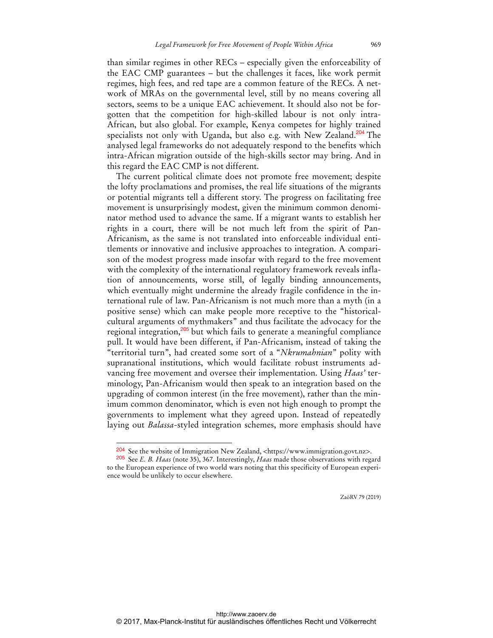than similar regimes in other RECs – especially given the enforceability of the EAC CMP guarantees – but the challenges it faces, like work permit regimes, high fees, and red tape are a common feature of the RECs. A network of MRAs on the governmental level, still by no means covering all sectors, seems to be a unique EAC achievement. It should also not be forgotten that the competition for high-skilled labour is not only intra-African, but also global. For example, Kenya competes for highly trained specialists not only with Uganda, but also e.g. with New Zealand.<sup>204</sup> The analysed legal frameworks do not adequately respond to the benefits which intra-African migration outside of the high-skills sector may bring. And in this regard the EAC CMP is not different.

The current political climate does not promote free movement; despite the lofty proclamations and promises, the real life situations of the migrants or potential migrants tell a different story. The progress on facilitating free movement is unsurprisingly modest, given the minimum common denominator method used to advance the same. If a migrant wants to establish her rights in a court, there will be not much left from the spirit of Pan-Africanism, as the same is not translated into enforceable individual entitlements or innovative and inclusive approaches to integration. A comparison of the modest progress made insofar with regard to the free movement with the complexity of the international regulatory framework reveals inflation of announcements, worse still, of legally binding announcements, which eventually might undermine the already fragile confidence in the international rule of law. Pan-Africanism is not much more than a myth (in a positive sense) which can make people more receptive to the "historicalcultural arguments of mythmakers" and thus facilitate the advocacy for the regional integration,<sup>205</sup> but which fails to generate a meaningful compliance pull. It would have been different, if Pan-Africanism, instead of taking the "territorial turn", had created some sort of a "*Nkrumahnian*" polity with supranational institutions, which would facilitate robust instruments advancing free movement and oversee their implementation. Using *Haas'* terminology, Pan-Africanism would then speak to an integration based on the upgrading of common interest (in the free movement), rather than the minimum common denominator, which is even not high enough to prompt the governments to implement what they agreed upon. Instead of repeatedly laying out *Balassa*-styled integration schemes, more emphasis should have

<sup>204</sup> See the website of Immigration New Zealand, <https://www.immigration.govt.nz>.

<sup>205</sup> See *E. B. Haas* (note 35), 367. Interestingly, *Haas* made those observations with regard to the European experience of two world wars noting that this specificity of European experience would be unlikely to occur elsewhere.